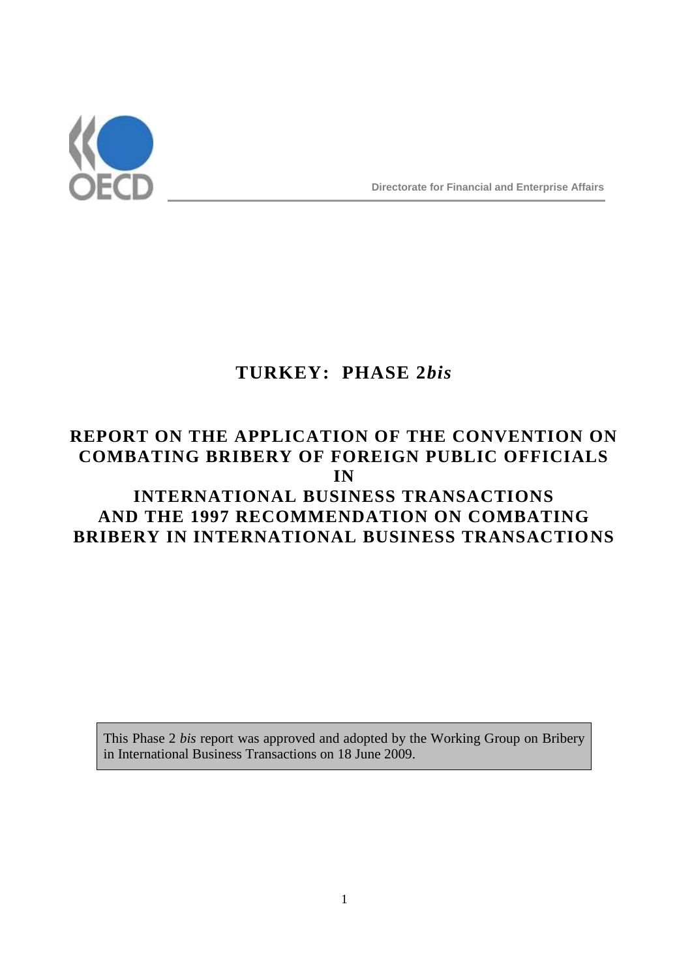

**Directorate for Financial and Enterprise Affairs**

# **TURKEY: PHASE 2***bis*

## **REPORT ON THE APPLICATION OF THE CONVENTION ON COMBATING BRIBERY OF FOREIGN PUBLIC OFFICIALS IN INTERNATIONAL BUSINESS TRANSACTIONS AND THE 1997 RECOMMENDATION ON COMBATING BRIBERY IN INTERNATIONAL BUSINESS TRANSACTIONS**

This Phase 2 *bis* report was approved and adopted by the Working Group on Bribery in International Business Transactions on 18 June 2009.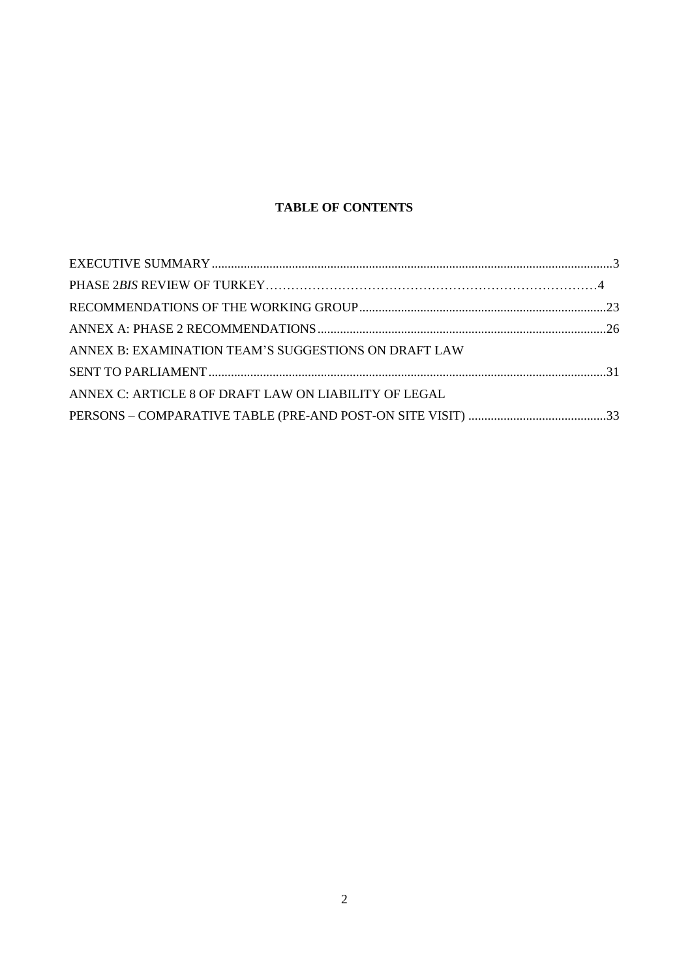## **TABLE OF CONTENTS**

| ANNEX B: EXAMINATION TEAM'S SUGGESTIONS ON DRAFT LAW  |  |
|-------------------------------------------------------|--|
|                                                       |  |
| ANNEX C: ARTICLE 8 OF DRAFT LAW ON LIABILITY OF LEGAL |  |
|                                                       |  |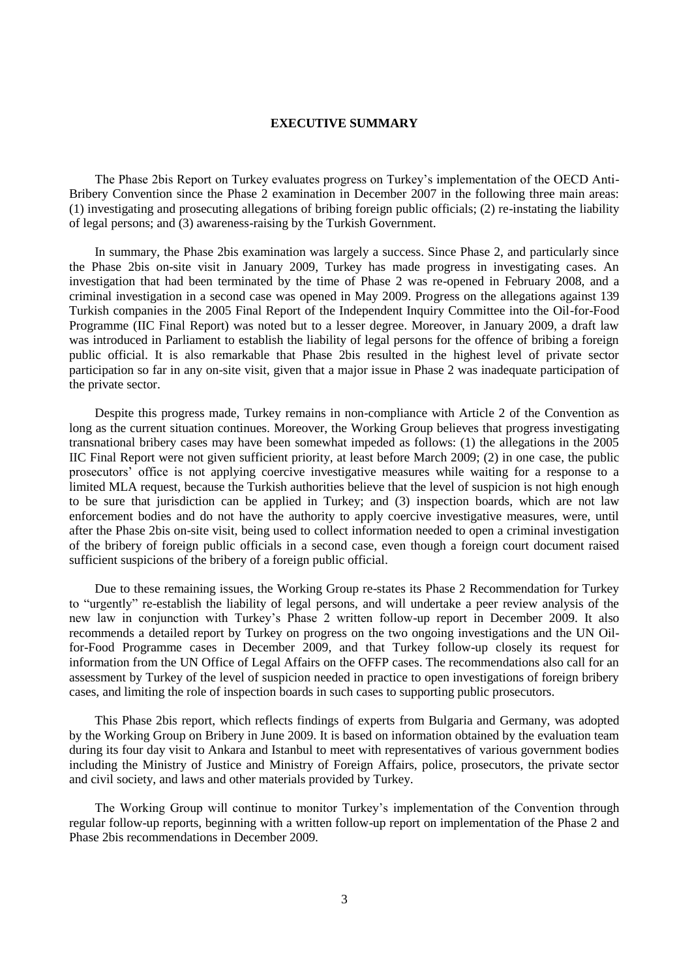#### **EXECUTIVE SUMMARY**

The Phase 2bis Report on Turkey evaluates progress on Turkey's implementation of the OECD Anti-Bribery Convention since the Phase 2 examination in December 2007 in the following three main areas: (1) investigating and prosecuting allegations of bribing foreign public officials; (2) re-instating the liability of legal persons; and (3) awareness-raising by the Turkish Government.

In summary, the Phase 2bis examination was largely a success. Since Phase 2, and particularly since the Phase 2bis on-site visit in January 2009, Turkey has made progress in investigating cases. An investigation that had been terminated by the time of Phase 2 was re-opened in February 2008, and a criminal investigation in a second case was opened in May 2009. Progress on the allegations against 139 Turkish companies in the 2005 Final Report of the Independent Inquiry Committee into the Oil-for-Food Programme (IIC Final Report) was noted but to a lesser degree. Moreover, in January 2009, a draft law was introduced in Parliament to establish the liability of legal persons for the offence of bribing a foreign public official. It is also remarkable that Phase 2bis resulted in the highest level of private sector participation so far in any on-site visit, given that a major issue in Phase 2 was inadequate participation of the private sector.

Despite this progress made, Turkey remains in non-compliance with Article 2 of the Convention as long as the current situation continues. Moreover, the Working Group believes that progress investigating transnational bribery cases may have been somewhat impeded as follows: (1) the allegations in the 2005 IIC Final Report were not given sufficient priority, at least before March 2009; (2) in one case, the public prosecutors' office is not applying coercive investigative measures while waiting for a response to a limited MLA request, because the Turkish authorities believe that the level of suspicion is not high enough to be sure that jurisdiction can be applied in Turkey; and (3) inspection boards, which are not law enforcement bodies and do not have the authority to apply coercive investigative measures, were, until after the Phase 2bis on-site visit, being used to collect information needed to open a criminal investigation of the bribery of foreign public officials in a second case, even though a foreign court document raised sufficient suspicions of the bribery of a foreign public official.

Due to these remaining issues, the Working Group re-states its Phase 2 Recommendation for Turkey to "urgently" re-establish the liability of legal persons, and will undertake a peer review analysis of the new law in conjunction with Turkey's Phase 2 written follow-up report in December 2009. It also recommends a detailed report by Turkey on progress on the two ongoing investigations and the UN Oilfor-Food Programme cases in December 2009, and that Turkey follow-up closely its request for information from the UN Office of Legal Affairs on the OFFP cases. The recommendations also call for an assessment by Turkey of the level of suspicion needed in practice to open investigations of foreign bribery cases, and limiting the role of inspection boards in such cases to supporting public prosecutors.

This Phase 2bis report, which reflects findings of experts from Bulgaria and Germany, was adopted by the Working Group on Bribery in June 2009. It is based on information obtained by the evaluation team during its four day visit to Ankara and Istanbul to meet with representatives of various government bodies including the Ministry of Justice and Ministry of Foreign Affairs, police, prosecutors, the private sector and civil society, and laws and other materials provided by Turkey.

The Working Group will continue to monitor Turkey's implementation of the Convention through regular follow-up reports, beginning with a written follow-up report on implementation of the Phase 2 and Phase 2bis recommendations in December 2009.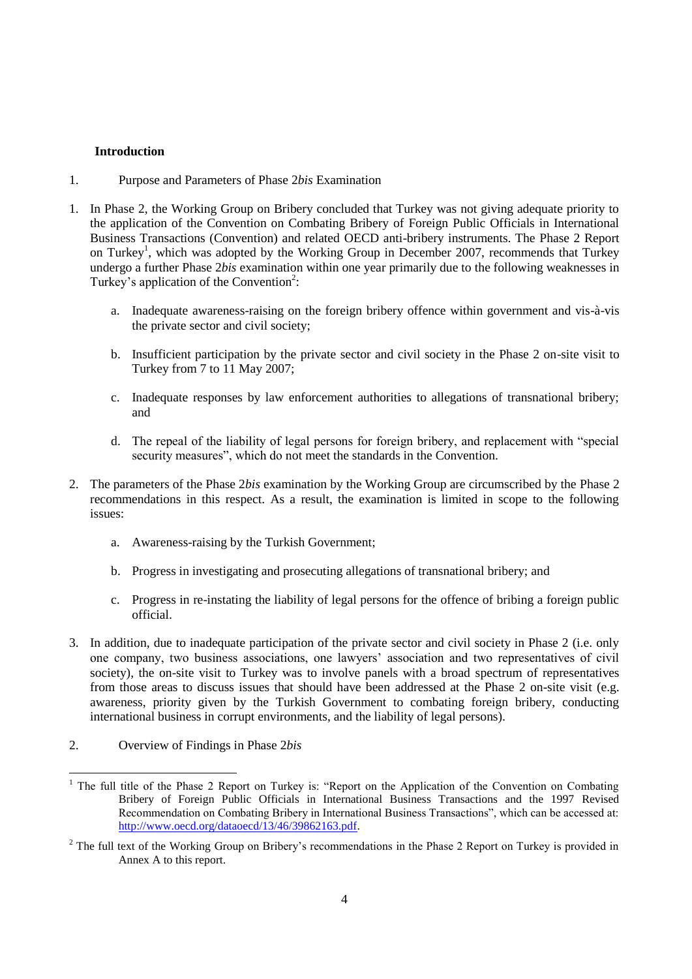## **Introduction**

- 1. Purpose and Parameters of Phase 2*bis* Examination
- 1. In Phase 2, the Working Group on Bribery concluded that Turkey was not giving adequate priority to the application of the Convention on Combating Bribery of Foreign Public Officials in International Business Transactions (Convention) and related OECD anti-bribery instruments. The Phase 2 Report on Turkey<sup>1</sup>, which was adopted by the Working Group in December 2007, recommends that Turkey undergo a further Phase 2*bis* examination within one year primarily due to the following weaknesses in Turkey's application of the Convention<sup>2</sup>:
	- a. Inadequate awareness-raising on the foreign bribery offence within government and vis-à-vis the private sector and civil society;
	- b. Insufficient participation by the private sector and civil society in the Phase 2 on-site visit to Turkey from 7 to 11 May 2007;
	- c. Inadequate responses by law enforcement authorities to allegations of transnational bribery; and
	- d. The repeal of the liability of legal persons for foreign bribery, and replacement with "special security measures", which do not meet the standards in the Convention.
- 2. The parameters of the Phase 2*bis* examination by the Working Group are circumscribed by the Phase 2 recommendations in this respect. As a result, the examination is limited in scope to the following issues:
	- a. Awareness-raising by the Turkish Government;
	- b. Progress in investigating and prosecuting allegations of transnational bribery; and
	- c. Progress in re-instating the liability of legal persons for the offence of bribing a foreign public official.
- 3. In addition, due to inadequate participation of the private sector and civil society in Phase 2 (i.e. only one company, two business associations, one lawyers' association and two representatives of civil society), the on-site visit to Turkey was to involve panels with a broad spectrum of representatives from those areas to discuss issues that should have been addressed at the Phase 2 on-site visit (e.g. awareness, priority given by the Turkish Government to combating foreign bribery, conducting international business in corrupt environments, and the liability of legal persons).
- 2. Overview of Findings in Phase 2*bis*

l <sup>1</sup> The full title of the Phase 2 Report on Turkey is: "Report on the Application of the Convention on Combating Bribery of Foreign Public Officials in International Business Transactions and the 1997 Revised Recommendation on Combating Bribery in International Business Transactions", which can be accessed at: [http://www.oecd.org/dataoecd/13/46/39862163.pdf.](http://www.oecd.org/dataoecd/13/46/39862163.pdf) 

 $2$  The full text of the Working Group on Bribery's recommendations in the Phase 2 Report on Turkey is provided in Annex A to this report.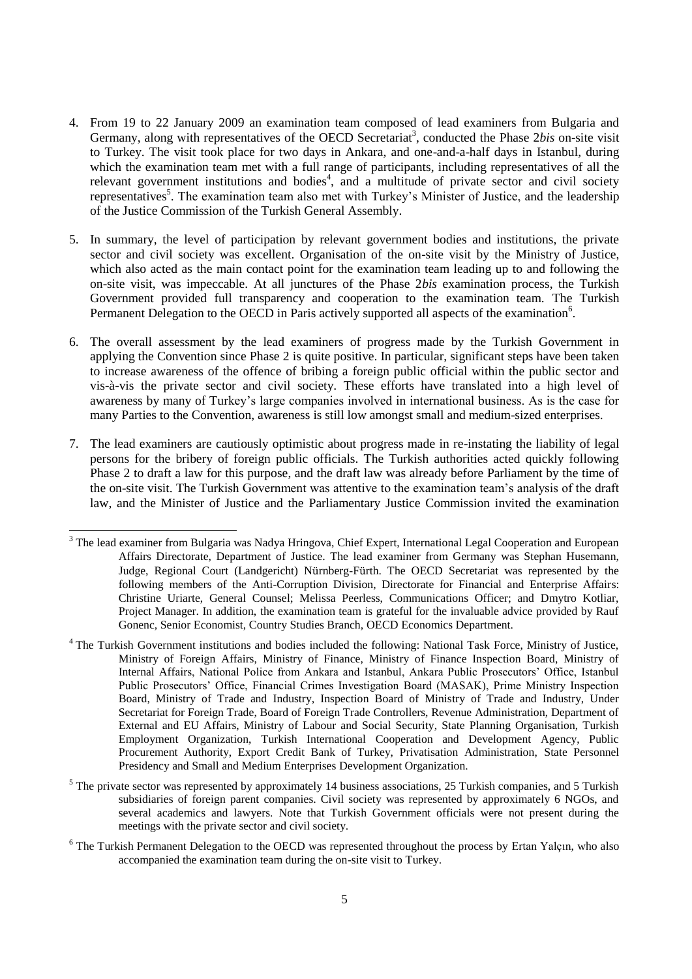- 4. From 19 to 22 January 2009 an examination team composed of lead examiners from Bulgaria and Germany, along with representatives of the OECD Secretariat<sup>3</sup>, conducted the Phase 2bis on-site visit to Turkey. The visit took place for two days in Ankara, and one-and-a-half days in Istanbul, during which the examination team met with a full range of participants, including representatives of all the relevant government institutions and bodies<sup>4</sup>, and a multitude of private sector and civil society representatives<sup>5</sup>. The examination team also met with Turkey's Minister of Justice, and the leadership of the Justice Commission of the Turkish General Assembly.
- 5. In summary, the level of participation by relevant government bodies and institutions, the private sector and civil society was excellent. Organisation of the on-site visit by the Ministry of Justice, which also acted as the main contact point for the examination team leading up to and following the on-site visit, was impeccable. At all junctures of the Phase 2*bis* examination process, the Turkish Government provided full transparency and cooperation to the examination team. The Turkish Permanent Delegation to the OECD in Paris actively supported all aspects of the examination<sup>6</sup>.
- 6. The overall assessment by the lead examiners of progress made by the Turkish Government in applying the Convention since Phase 2 is quite positive. In particular, significant steps have been taken to increase awareness of the offence of bribing a foreign public official within the public sector and vis-à-vis the private sector and civil society. These efforts have translated into a high level of awareness by many of Turkey's large companies involved in international business. As is the case for many Parties to the Convention, awareness is still low amongst small and medium-sized enterprises.
- 7. The lead examiners are cautiously optimistic about progress made in re-instating the liability of legal persons for the bribery of foreign public officials. The Turkish authorities acted quickly following Phase 2 to draft a law for this purpose, and the draft law was already before Parliament by the time of the on-site visit. The Turkish Government was attentive to the examination team's analysis of the draft law, and the Minister of Justice and the Parliamentary Justice Commission invited the examination

- <sup>4</sup> The Turkish Government institutions and bodies included the following: National Task Force, Ministry of Justice, Ministry of Foreign Affairs, Ministry of Finance, Ministry of Finance Inspection Board, Ministry of Internal Affairs, National Police from Ankara and Istanbul, Ankara Public Prosecutors' Office, Istanbul Public Prosecutors' Office, Financial Crimes Investigation Board (MASAK), Prime Ministry Inspection Board, Ministry of Trade and Industry, Inspection Board of Ministry of Trade and Industry, Under Secretariat for Foreign Trade, Board of Foreign Trade Controllers, Revenue Administration, Department of External and EU Affairs, Ministry of Labour and Social Security, State Planning Organisation, Turkish Employment Organization, Turkish International Cooperation and Development Agency, Public Procurement Authority, Export Credit Bank of Turkey, Privatisation Administration, State Personnel Presidency and Small and Medium Enterprises Development Organization.
- $<sup>5</sup>$  The private sector was represented by approximately 14 business associations, 25 Turkish companies, and 5 Turkish</sup> subsidiaries of foreign parent companies. Civil society was represented by approximately 6 NGOs, and several academics and lawyers. Note that Turkish Government officials were not present during the meetings with the private sector and civil society.
- <sup>6</sup> The Turkish Permanent Delegation to the OECD was represented throughout the process by Ertan Yalçın, who also accompanied the examination team during the on-site visit to Turkey.

<sup>&</sup>lt;sup>3</sup> The lead examiner from Bulgaria was Nadya Hringova, Chief Expert, International Legal Cooperation and European Affairs Directorate, Department of Justice. The lead examiner from Germany was Stephan Husemann, Judge, Regional Court (Landgericht) Nürnberg-Fürth. The OECD Secretariat was represented by the following members of the Anti-Corruption Division, Directorate for Financial and Enterprise Affairs: Christine Uriarte, General Counsel; Melissa Peerless, Communications Officer; and Dmytro Kotliar, Project Manager. In addition, the examination team is grateful for the invaluable advice provided by Rauf Gonenc, Senior Economist, Country Studies Branch, OECD Economics Department.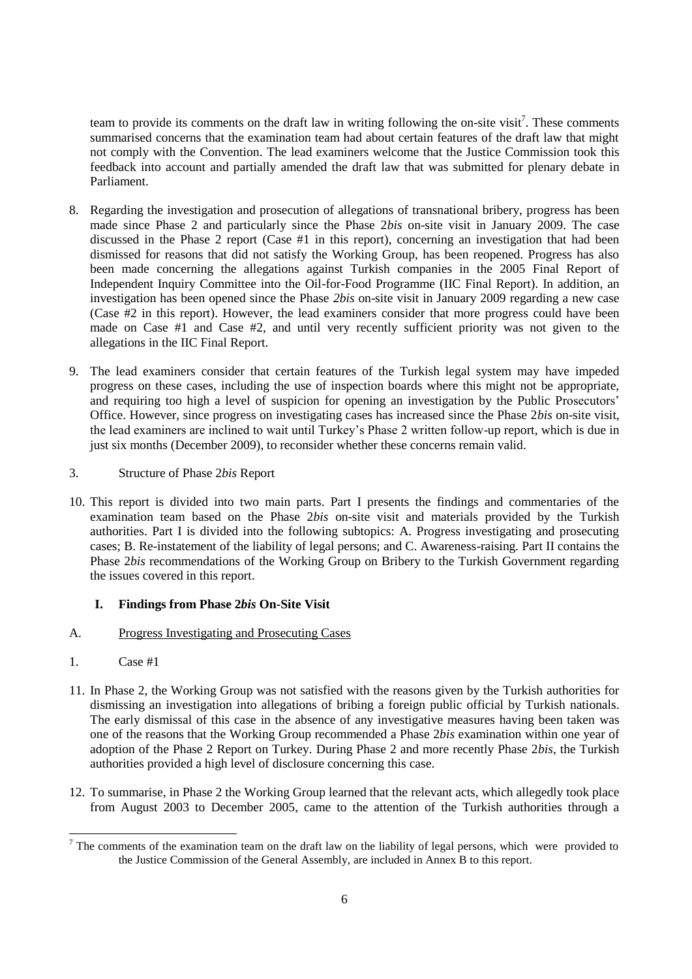team to provide its comments on the draft law in writing following the on-site visit<sup>7</sup>. These comments summarised concerns that the examination team had about certain features of the draft law that might not comply with the Convention. The lead examiners welcome that the Justice Commission took this feedback into account and partially amended the draft law that was submitted for plenary debate in Parliament.

- 8. Regarding the investigation and prosecution of allegations of transnational bribery, progress has been made since Phase 2 and particularly since the Phase 2*bis* on-site visit in January 2009. The case discussed in the Phase 2 report (Case #1 in this report), concerning an investigation that had been dismissed for reasons that did not satisfy the Working Group, has been reopened. Progress has also been made concerning the allegations against Turkish companies in the 2005 Final Report of Independent Inquiry Committee into the Oil-for-Food Programme (IIC Final Report). In addition, an investigation has been opened since the Phase *2bis* on-site visit in January 2009 regarding a new case (Case #2 in this report). However, the lead examiners consider that more progress could have been made on Case #1 and Case #2, and until very recently sufficient priority was not given to the allegations in the IIC Final Report.
- 9. The lead examiners consider that certain features of the Turkish legal system may have impeded progress on these cases, including the use of inspection boards where this might not be appropriate, and requiring too high a level of suspicion for opening an investigation by the Public Prosecutors' Office. However, since progress on investigating cases has increased since the Phase 2*bis* on-site visit, the lead examiners are inclined to wait until Turkey's Phase 2 written follow-up report, which is due in just six months (December 2009), to reconsider whether these concerns remain valid.
- 3. Structure of Phase 2*bis* Report
- 10. This report is divided into two main parts. Part I presents the findings and commentaries of the examination team based on the Phase 2*bis* on-site visit and materials provided by the Turkish authorities. Part I is divided into the following subtopics: A. Progress investigating and prosecuting cases; B. Re-instatement of the liability of legal persons; and C. Awareness-raising. Part II contains the Phase 2*bis* recommendations of the Working Group on Bribery to the Turkish Government regarding the issues covered in this report.

## **I. Findings from Phase 2***bis* **On-Site Visit**

## A. Progress Investigating and Prosecuting Cases

- 1. Case #1
- 11. In Phase 2, the Working Group was not satisfied with the reasons given by the Turkish authorities for dismissing an investigation into allegations of bribing a foreign public official by Turkish nationals. The early dismissal of this case in the absence of any investigative measures having been taken was one of the reasons that the Working Group recommended a Phase 2*bis* examination within one year of adoption of the Phase 2 Report on Turkey. During Phase 2 and more recently Phase 2*bis*, the Turkish authorities provided a high level of disclosure concerning this case.
- 12. To summarise, in Phase 2 the Working Group learned that the relevant acts, which allegedly took place from August 2003 to December 2005, came to the attention of the Turkish authorities through a

l  $<sup>7</sup>$  The comments of the examination team on the draft law on the liability of legal persons, which were provided to</sup> the Justice Commission of the General Assembly, are included in Annex B to this report.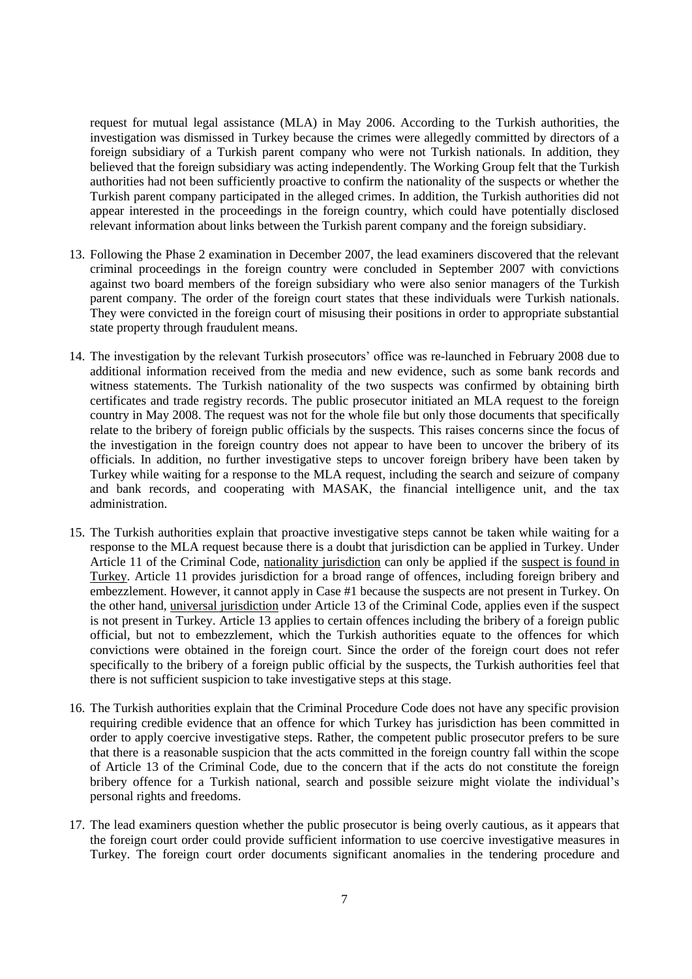request for mutual legal assistance (MLA) in May 2006. According to the Turkish authorities, the investigation was dismissed in Turkey because the crimes were allegedly committed by directors of a foreign subsidiary of a Turkish parent company who were not Turkish nationals. In addition, they believed that the foreign subsidiary was acting independently. The Working Group felt that the Turkish authorities had not been sufficiently proactive to confirm the nationality of the suspects or whether the Turkish parent company participated in the alleged crimes. In addition, the Turkish authorities did not appear interested in the proceedings in the foreign country, which could have potentially disclosed relevant information about links between the Turkish parent company and the foreign subsidiary.

- 13. Following the Phase 2 examination in December 2007, the lead examiners discovered that the relevant criminal proceedings in the foreign country were concluded in September 2007 with convictions against two board members of the foreign subsidiary who were also senior managers of the Turkish parent company. The order of the foreign court states that these individuals were Turkish nationals. They were convicted in the foreign court of misusing their positions in order to appropriate substantial state property through fraudulent means.
- 14. The investigation by the relevant Turkish prosecutors' office was re-launched in February 2008 due to additional information received from the media and new evidence, such as some bank records and witness statements. The Turkish nationality of the two suspects was confirmed by obtaining birth certificates and trade registry records. The public prosecutor initiated an MLA request to the foreign country in May 2008. The request was not for the whole file but only those documents that specifically relate to the bribery of foreign public officials by the suspects. This raises concerns since the focus of the investigation in the foreign country does not appear to have been to uncover the bribery of its officials. In addition, no further investigative steps to uncover foreign bribery have been taken by Turkey while waiting for a response to the MLA request, including the search and seizure of company and bank records, and cooperating with MASAK, the financial intelligence unit, and the tax administration.
- 15. The Turkish authorities explain that proactive investigative steps cannot be taken while waiting for a response to the MLA request because there is a doubt that jurisdiction can be applied in Turkey. Under Article 11 of the Criminal Code, nationality jurisdiction can only be applied if the suspect is found in Turkey. Article 11 provides jurisdiction for a broad range of offences, including foreign bribery and embezzlement. However, it cannot apply in Case #1 because the suspects are not present in Turkey. On the other hand, universal jurisdiction under Article 13 of the Criminal Code, applies even if the suspect is not present in Turkey. Article 13 applies to certain offences including the bribery of a foreign public official, but not to embezzlement, which the Turkish authorities equate to the offences for which convictions were obtained in the foreign court. Since the order of the foreign court does not refer specifically to the bribery of a foreign public official by the suspects, the Turkish authorities feel that there is not sufficient suspicion to take investigative steps at this stage.
- 16. The Turkish authorities explain that the Criminal Procedure Code does not have any specific provision requiring credible evidence that an offence for which Turkey has jurisdiction has been committed in order to apply coercive investigative steps. Rather, the competent public prosecutor prefers to be sure that there is a reasonable suspicion that the acts committed in the foreign country fall within the scope of Article 13 of the Criminal Code, due to the concern that if the acts do not constitute the foreign bribery offence for a Turkish national, search and possible seizure might violate the individual's personal rights and freedoms.
- 17. The lead examiners question whether the public prosecutor is being overly cautious, as it appears that the foreign court order could provide sufficient information to use coercive investigative measures in Turkey. The foreign court order documents significant anomalies in the tendering procedure and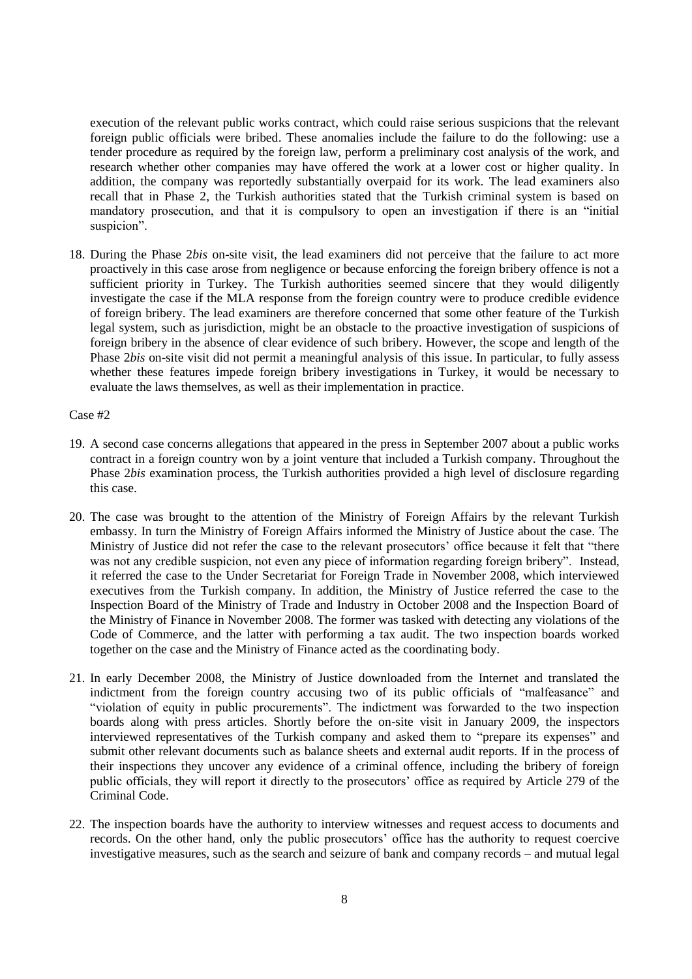execution of the relevant public works contract, which could raise serious suspicions that the relevant foreign public officials were bribed. These anomalies include the failure to do the following: use a tender procedure as required by the foreign law, perform a preliminary cost analysis of the work, and research whether other companies may have offered the work at a lower cost or higher quality. In addition, the company was reportedly substantially overpaid for its work. The lead examiners also recall that in Phase 2, the Turkish authorities stated that the Turkish criminal system is based on mandatory prosecution, and that it is compulsory to open an investigation if there is an "initial suspicion".

18. During the Phase 2*bis* on-site visit, the lead examiners did not perceive that the failure to act more proactively in this case arose from negligence or because enforcing the foreign bribery offence is not a sufficient priority in Turkey. The Turkish authorities seemed sincere that they would diligently investigate the case if the MLA response from the foreign country were to produce credible evidence of foreign bribery. The lead examiners are therefore concerned that some other feature of the Turkish legal system, such as jurisdiction, might be an obstacle to the proactive investigation of suspicions of foreign bribery in the absence of clear evidence of such bribery. However, the scope and length of the Phase 2*bis* on-site visit did not permit a meaningful analysis of this issue. In particular, to fully assess whether these features impede foreign bribery investigations in Turkey, it would be necessary to evaluate the laws themselves, as well as their implementation in practice.

Case #2

- 19. A second case concerns allegations that appeared in the press in September 2007 about a public works contract in a foreign country won by a joint venture that included a Turkish company. Throughout the Phase 2*bis* examination process, the Turkish authorities provided a high level of disclosure regarding this case.
- 20. The case was brought to the attention of the Ministry of Foreign Affairs by the relevant Turkish embassy. In turn the Ministry of Foreign Affairs informed the Ministry of Justice about the case. The Ministry of Justice did not refer the case to the relevant prosecutors' office because it felt that "there was not any credible suspicion, not even any piece of information regarding foreign bribery". Instead, it referred the case to the Under Secretariat for Foreign Trade in November 2008, which interviewed executives from the Turkish company. In addition, the Ministry of Justice referred the case to the Inspection Board of the Ministry of Trade and Industry in October 2008 and the Inspection Board of the Ministry of Finance in November 2008. The former was tasked with detecting any violations of the Code of Commerce, and the latter with performing a tax audit. The two inspection boards worked together on the case and the Ministry of Finance acted as the coordinating body.
- 21. In early December 2008, the Ministry of Justice downloaded from the Internet and translated the indictment from the foreign country accusing two of its public officials of "malfeasance" and "violation of equity in public procurements". The indictment was forwarded to the two inspection boards along with press articles. Shortly before the on-site visit in January 2009, the inspectors interviewed representatives of the Turkish company and asked them to "prepare its expenses" and submit other relevant documents such as balance sheets and external audit reports. If in the process of their inspections they uncover any evidence of a criminal offence, including the bribery of foreign public officials, they will report it directly to the prosecutors' office as required by Article 279 of the Criminal Code.
- 22. The inspection boards have the authority to interview witnesses and request access to documents and records. On the other hand, only the public prosecutors' office has the authority to request coercive investigative measures, such as the search and seizure of bank and company records – and mutual legal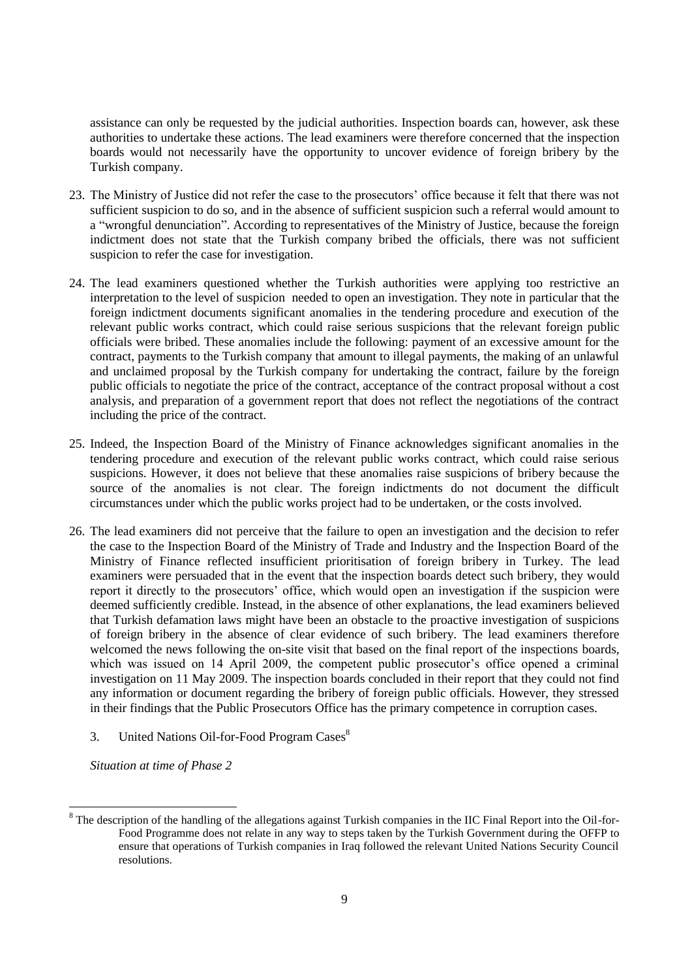assistance can only be requested by the judicial authorities. Inspection boards can, however, ask these authorities to undertake these actions. The lead examiners were therefore concerned that the inspection boards would not necessarily have the opportunity to uncover evidence of foreign bribery by the Turkish company.

- 23. The Ministry of Justice did not refer the case to the prosecutors' office because it felt that there was not sufficient suspicion to do so, and in the absence of sufficient suspicion such a referral would amount to a "wrongful denunciation". According to representatives of the Ministry of Justice, because the foreign indictment does not state that the Turkish company bribed the officials, there was not sufficient suspicion to refer the case for investigation.
- 24. The lead examiners questioned whether the Turkish authorities were applying too restrictive an interpretation to the level of suspicion needed to open an investigation. They note in particular that the foreign indictment documents significant anomalies in the tendering procedure and execution of the relevant public works contract, which could raise serious suspicions that the relevant foreign public officials were bribed. These anomalies include the following: payment of an excessive amount for the contract, payments to the Turkish company that amount to illegal payments, the making of an unlawful and unclaimed proposal by the Turkish company for undertaking the contract, failure by the foreign public officials to negotiate the price of the contract, acceptance of the contract proposal without a cost analysis, and preparation of a government report that does not reflect the negotiations of the contract including the price of the contract.
- 25. Indeed, the Inspection Board of the Ministry of Finance acknowledges significant anomalies in the tendering procedure and execution of the relevant public works contract, which could raise serious suspicions. However, it does not believe that these anomalies raise suspicions of bribery because the source of the anomalies is not clear. The foreign indictments do not document the difficult circumstances under which the public works project had to be undertaken, or the costs involved.
- 26. The lead examiners did not perceive that the failure to open an investigation and the decision to refer the case to the Inspection Board of the Ministry of Trade and Industry and the Inspection Board of the Ministry of Finance reflected insufficient prioritisation of foreign bribery in Turkey. The lead examiners were persuaded that in the event that the inspection boards detect such bribery, they would report it directly to the prosecutors' office, which would open an investigation if the suspicion were deemed sufficiently credible. Instead, in the absence of other explanations, the lead examiners believed that Turkish defamation laws might have been an obstacle to the proactive investigation of suspicions of foreign bribery in the absence of clear evidence of such bribery. The lead examiners therefore welcomed the news following the on-site visit that based on the final report of the inspections boards, which was issued on 14 April 2009, the competent public prosecutor's office opened a criminal investigation on 11 May 2009. The inspection boards concluded in their report that they could not find any information or document regarding the bribery of foreign public officials. However, they stressed in their findings that the Public Prosecutors Office has the primary competence in corruption cases.
	- 3. United Nations Oil-for-Food Program Cases<sup>8</sup>

*Situation at time of Phase 2*

 $\overline{a}$ 

<sup>&</sup>lt;sup>8</sup> The description of the handling of the allegations against Turkish companies in the IIC Final Report into the Oil-for-Food Programme does not relate in any way to steps taken by the Turkish Government during the OFFP to ensure that operations of Turkish companies in Iraq followed the relevant United Nations Security Council resolutions.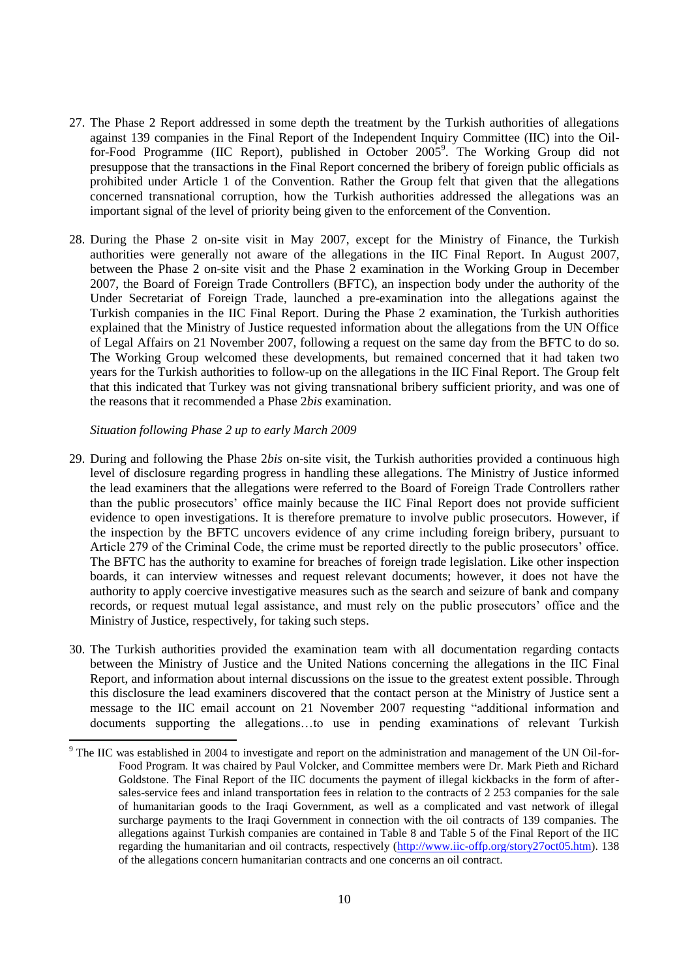- 27. The Phase 2 Report addressed in some depth the treatment by the Turkish authorities of allegations against 139 companies in the Final Report of the Independent Inquiry Committee (IIC) into the Oilfor-Food Programme (IIC Report), published in October 2005<sup>9</sup>. The Working Group did not presuppose that the transactions in the Final Report concerned the bribery of foreign public officials as prohibited under Article 1 of the Convention. Rather the Group felt that given that the allegations concerned transnational corruption, how the Turkish authorities addressed the allegations was an important signal of the level of priority being given to the enforcement of the Convention.
- 28. During the Phase 2 on-site visit in May 2007, except for the Ministry of Finance, the Turkish authorities were generally not aware of the allegations in the IIC Final Report. In August 2007, between the Phase 2 on-site visit and the Phase 2 examination in the Working Group in December 2007, the Board of Foreign Trade Controllers (BFTC), an inspection body under the authority of the Under Secretariat of Foreign Trade, launched a pre-examination into the allegations against the Turkish companies in the IIC Final Report. During the Phase 2 examination, the Turkish authorities explained that the Ministry of Justice requested information about the allegations from the UN Office of Legal Affairs on 21 November 2007, following a request on the same day from the BFTC to do so. The Working Group welcomed these developments, but remained concerned that it had taken two years for the Turkish authorities to follow-up on the allegations in the IIC Final Report. The Group felt that this indicated that Turkey was not giving transnational bribery sufficient priority, and was one of the reasons that it recommended a Phase 2*bis* examination.

#### *Situation following Phase 2 up to early March 2009*

- 29. During and following the Phase 2*bis* on-site visit, the Turkish authorities provided a continuous high level of disclosure regarding progress in handling these allegations. The Ministry of Justice informed the lead examiners that the allegations were referred to the Board of Foreign Trade Controllers rather than the public prosecutors' office mainly because the IIC Final Report does not provide sufficient evidence to open investigations. It is therefore premature to involve public prosecutors. However, if the inspection by the BFTC uncovers evidence of any crime including foreign bribery, pursuant to Article 279 of the Criminal Code, the crime must be reported directly to the public prosecutors' office. The BFTC has the authority to examine for breaches of foreign trade legislation. Like other inspection boards, it can interview witnesses and request relevant documents; however, it does not have the authority to apply coercive investigative measures such as the search and seizure of bank and company records, or request mutual legal assistance, and must rely on the public prosecutors' office and the Ministry of Justice, respectively, for taking such steps.
- 30. The Turkish authorities provided the examination team with all documentation regarding contacts between the Ministry of Justice and the United Nations concerning the allegations in the IIC Final Report, and information about internal discussions on the issue to the greatest extent possible. Through this disclosure the lead examiners discovered that the contact person at the Ministry of Justice sent a message to the IIC email account on 21 November 2007 requesting "additional information and documents supporting the allegations…to use in pending examinations of relevant Turkish

<sup>&</sup>lt;sup>9</sup> The IIC was established in 2004 to investigate and report on the administration and management of the UN Oil-for-Food Program. It was chaired by Paul Volcker, and Committee members were Dr. Mark Pieth and Richard Goldstone. The Final Report of the IIC documents the payment of illegal kickbacks in the form of aftersales-service fees and inland transportation fees in relation to the contracts of 2 253 companies for the sale of humanitarian goods to the Iraqi Government, as well as a complicated and vast network of illegal surcharge payments to the Iraqi Government in connection with the oil contracts of 139 companies. The allegations against Turkish companies are contained in Table 8 and Table 5 of the Final Report of the IIC regarding the humanitarian and oil contracts, respectively [\(http://www.iic-offp.org/story27oct05.htm\)](http://www.iic-offp.org/story27oct05.htm). 138 of the allegations concern humanitarian contracts and one concerns an oil contract.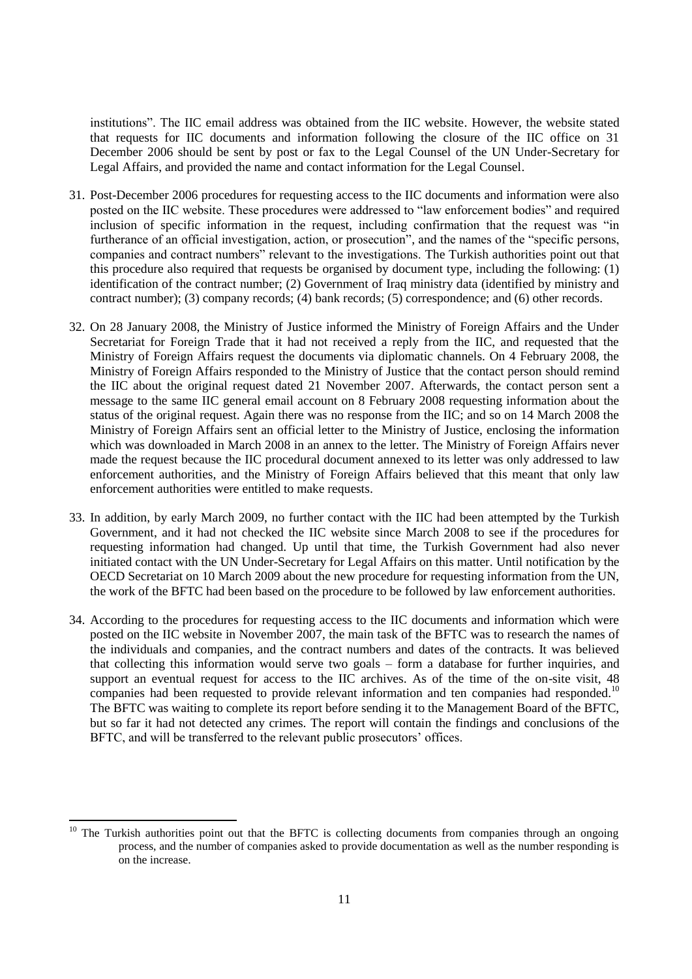institutions". The IIC email address was obtained from the IIC website. However, the website stated that requests for IIC documents and information following the closure of the IIC office on 31 December 2006 should be sent by post or fax to the Legal Counsel of the UN Under-Secretary for Legal Affairs, and provided the name and contact information for the Legal Counsel.

- 31. Post-December 2006 procedures for requesting access to the IIC documents and information were also posted on the IIC website. These procedures were addressed to "law enforcement bodies" and required inclusion of specific information in the request, including confirmation that the request was "in furtherance of an official investigation, action, or prosecution", and the names of the "specific persons, companies and contract numbers" relevant to the investigations. The Turkish authorities point out that this procedure also required that requests be organised by document type, including the following: (1) identification of the contract number; (2) Government of Iraq ministry data (identified by ministry and contract number); (3) company records; (4) bank records; (5) correspondence; and (6) other records.
- 32. On 28 January 2008, the Ministry of Justice informed the Ministry of Foreign Affairs and the Under Secretariat for Foreign Trade that it had not received a reply from the IIC, and requested that the Ministry of Foreign Affairs request the documents via diplomatic channels. On 4 February 2008, the Ministry of Foreign Affairs responded to the Ministry of Justice that the contact person should remind the IIC about the original request dated 21 November 2007. Afterwards, the contact person sent a message to the same IIC general email account on 8 February 2008 requesting information about the status of the original request. Again there was no response from the IIC; and so on 14 March 2008 the Ministry of Foreign Affairs sent an official letter to the Ministry of Justice, enclosing the information which was downloaded in March 2008 in an annex to the letter. The Ministry of Foreign Affairs never made the request because the IIC procedural document annexed to its letter was only addressed to law enforcement authorities, and the Ministry of Foreign Affairs believed that this meant that only law enforcement authorities were entitled to make requests.
- 33. In addition, by early March 2009, no further contact with the IIC had been attempted by the Turkish Government, and it had not checked the IIC website since March 2008 to see if the procedures for requesting information had changed. Up until that time, the Turkish Government had also never initiated contact with the UN Under-Secretary for Legal Affairs on this matter. Until notification by the OECD Secretariat on 10 March 2009 about the new procedure for requesting information from the UN, the work of the BFTC had been based on the procedure to be followed by law enforcement authorities.
- 34. According to the procedures for requesting access to the IIC documents and information which were posted on the IIC website in November 2007, the main task of the BFTC was to research the names of the individuals and companies, and the contract numbers and dates of the contracts. It was believed that collecting this information would serve two goals – form a database for further inquiries, and support an eventual request for access to the IIC archives. As of the time of the on-site visit, 48 companies had been requested to provide relevant information and ten companies had responded.<sup>10</sup> The BFTC was waiting to complete its report before sending it to the Management Board of the BFTC, but so far it had not detected any crimes. The report will contain the findings and conclusions of the BFTC, and will be transferred to the relevant public prosecutors' offices.

The Turkish authorities point out that the BFTC is collecting documents from companies through an ongoing process, and the number of companies asked to provide documentation as well as the number responding is on the increase.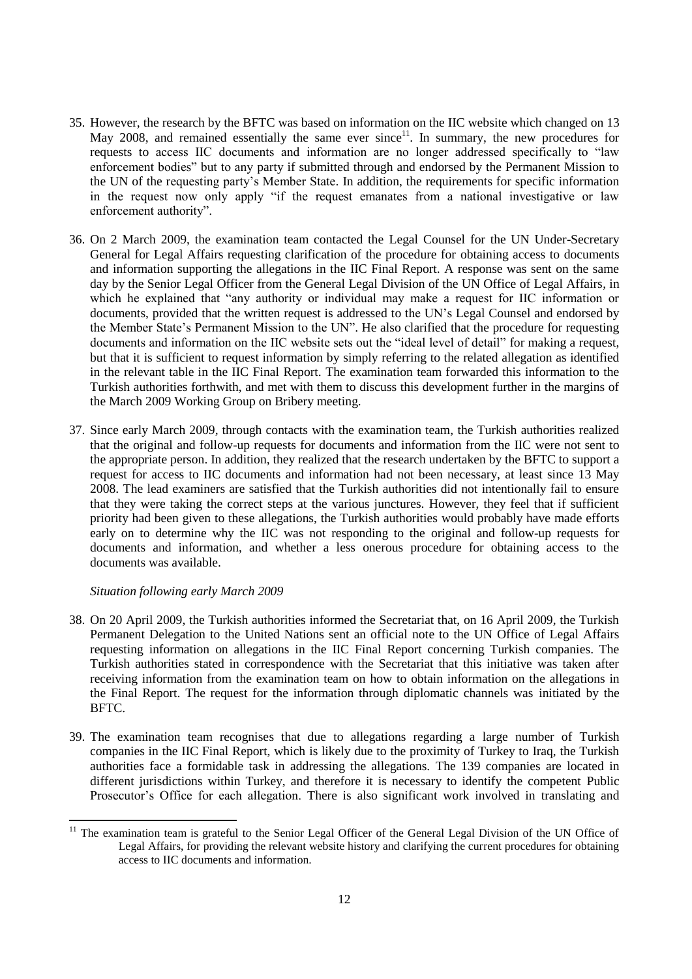- 35. However, the research by the BFTC was based on information on the IIC website which changed on 13 May 2008, and remained essentially the same ever since<sup>11</sup>. In summary, the new procedures for requests to access IIC documents and information are no longer addressed specifically to "law enforcement bodies" but to any party if submitted through and endorsed by the Permanent Mission to the UN of the requesting party's Member State. In addition, the requirements for specific information in the request now only apply "if the request emanates from a national investigative or law enforcement authority".
- 36. On 2 March 2009, the examination team contacted the Legal Counsel for the UN Under-Secretary General for Legal Affairs requesting clarification of the procedure for obtaining access to documents and information supporting the allegations in the IIC Final Report. A response was sent on the same day by the Senior Legal Officer from the General Legal Division of the UN Office of Legal Affairs, in which he explained that "any authority or individual may make a request for IIC information or documents, provided that the written request is addressed to the UN's Legal Counsel and endorsed by the Member State's Permanent Mission to the UN". He also clarified that the procedure for requesting documents and information on the IIC website sets out the "ideal level of detail" for making a request, but that it is sufficient to request information by simply referring to the related allegation as identified in the relevant table in the IIC Final Report. The examination team forwarded this information to the Turkish authorities forthwith, and met with them to discuss this development further in the margins of the March 2009 Working Group on Bribery meeting.
- 37. Since early March 2009, through contacts with the examination team, the Turkish authorities realized that the original and follow-up requests for documents and information from the IIC were not sent to the appropriate person. In addition, they realized that the research undertaken by the BFTC to support a request for access to IIC documents and information had not been necessary, at least since 13 May 2008. The lead examiners are satisfied that the Turkish authorities did not intentionally fail to ensure that they were taking the correct steps at the various junctures. However, they feel that if sufficient priority had been given to these allegations, the Turkish authorities would probably have made efforts early on to determine why the IIC was not responding to the original and follow-up requests for documents and information, and whether a less onerous procedure for obtaining access to the documents was available.

#### *Situation following early March 2009*

- 38. On 20 April 2009, the Turkish authorities informed the Secretariat that, on 16 April 2009, the Turkish Permanent Delegation to the United Nations sent an official note to the UN Office of Legal Affairs requesting information on allegations in the IIC Final Report concerning Turkish companies. The Turkish authorities stated in correspondence with the Secretariat that this initiative was taken after receiving information from the examination team on how to obtain information on the allegations in the Final Report. The request for the information through diplomatic channels was initiated by the BFTC.
- 39. The examination team recognises that due to allegations regarding a large number of Turkish companies in the IIC Final Report, which is likely due to the proximity of Turkey to Iraq, the Turkish authorities face a formidable task in addressing the allegations. The 139 companies are located in different jurisdictions within Turkey, and therefore it is necessary to identify the competent Public Prosecutor's Office for each allegation. There is also significant work involved in translating and

The examination team is grateful to the Senior Legal Officer of the General Legal Division of the UN Office of Legal Affairs, for providing the relevant website history and clarifying the current procedures for obtaining access to IIC documents and information.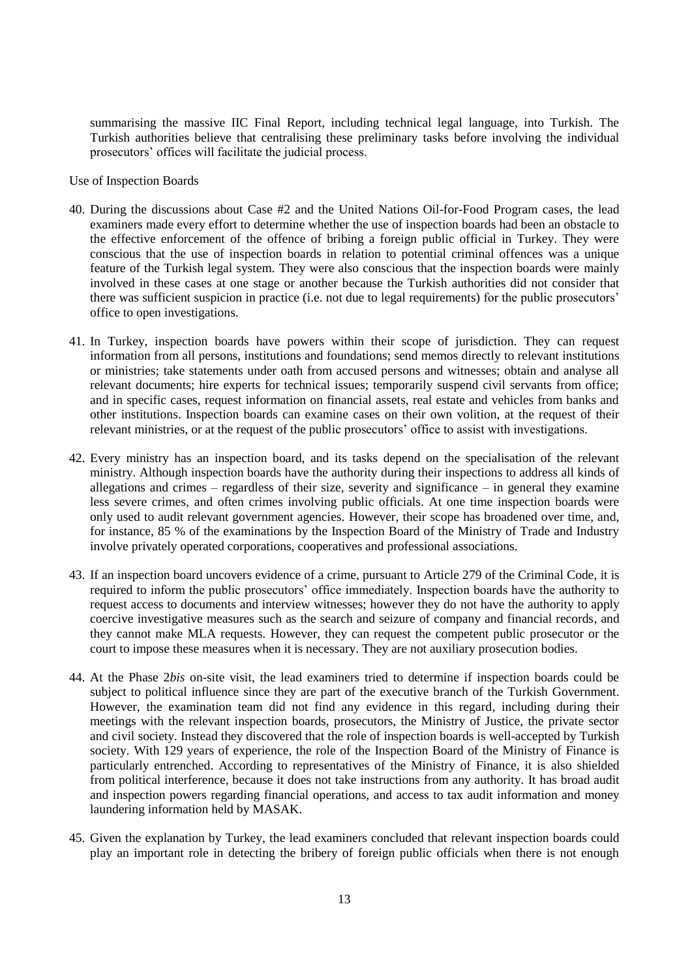summarising the massive IIC Final Report, including technical legal language, into Turkish. The Turkish authorities believe that centralising these preliminary tasks before involving the individual prosecutors' offices will facilitate the judicial process.

Use of Inspection Boards

- 40. During the discussions about Case #2 and the United Nations Oil-for-Food Program cases, the lead examiners made every effort to determine whether the use of inspection boards had been an obstacle to the effective enforcement of the offence of bribing a foreign public official in Turkey. They were conscious that the use of inspection boards in relation to potential criminal offences was a unique feature of the Turkish legal system. They were also conscious that the inspection boards were mainly involved in these cases at one stage or another because the Turkish authorities did not consider that there was sufficient suspicion in practice (i.e. not due to legal requirements) for the public prosecutors' office to open investigations.
- 41. In Turkey, inspection boards have powers within their scope of jurisdiction. They can request information from all persons, institutions and foundations; send memos directly to relevant institutions or ministries; take statements under oath from accused persons and witnesses; obtain and analyse all relevant documents; hire experts for technical issues; temporarily suspend civil servants from office; and in specific cases, request information on financial assets, real estate and vehicles from banks and other institutions. Inspection boards can examine cases on their own volition, at the request of their relevant ministries, or at the request of the public prosecutors' office to assist with investigations.
- 42. Every ministry has an inspection board, and its tasks depend on the specialisation of the relevant ministry. Although inspection boards have the authority during their inspections to address all kinds of allegations and crimes – regardless of their size, severity and significance – in general they examine less severe crimes, and often crimes involving public officials. At one time inspection boards were only used to audit relevant government agencies. However, their scope has broadened over time, and, for instance, 85 % of the examinations by the Inspection Board of the Ministry of Trade and Industry involve privately operated corporations, cooperatives and professional associations.
- 43. If an inspection board uncovers evidence of a crime, pursuant to Article 279 of the Criminal Code, it is required to inform the public prosecutors' office immediately. Inspection boards have the authority to request access to documents and interview witnesses; however they do not have the authority to apply coercive investigative measures such as the search and seizure of company and financial records, and they cannot make MLA requests. However, they can request the competent public prosecutor or the court to impose these measures when it is necessary. They are not auxiliary prosecution bodies.
- 44. At the Phase 2*bis* on-site visit, the lead examiners tried to determine if inspection boards could be subject to political influence since they are part of the executive branch of the Turkish Government. However, the examination team did not find any evidence in this regard, including during their meetings with the relevant inspection boards, prosecutors, the Ministry of Justice, the private sector and civil society. Instead they discovered that the role of inspection boards is well-accepted by Turkish society. With 129 years of experience, the role of the Inspection Board of the Ministry of Finance is particularly entrenched. According to representatives of the Ministry of Finance, it is also shielded from political interference, because it does not take instructions from any authority. It has broad audit and inspection powers regarding financial operations, and access to tax audit information and money laundering information held by MASAK.
- 45. Given the explanation by Turkey, the lead examiners concluded that relevant inspection boards could play an important role in detecting the bribery of foreign public officials when there is not enough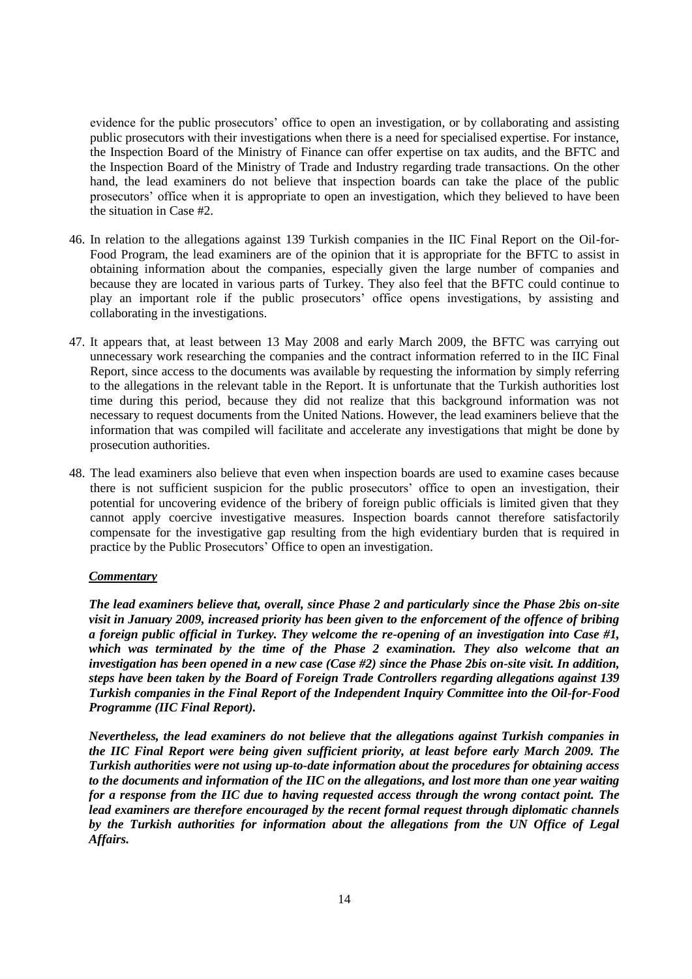evidence for the public prosecutors' office to open an investigation, or by collaborating and assisting public prosecutors with their investigations when there is a need for specialised expertise. For instance, the Inspection Board of the Ministry of Finance can offer expertise on tax audits, and the BFTC and the Inspection Board of the Ministry of Trade and Industry regarding trade transactions. On the other hand, the lead examiners do not believe that inspection boards can take the place of the public prosecutors' office when it is appropriate to open an investigation, which they believed to have been the situation in Case #2.

- 46. In relation to the allegations against 139 Turkish companies in the IIC Final Report on the Oil-for-Food Program, the lead examiners are of the opinion that it is appropriate for the BFTC to assist in obtaining information about the companies, especially given the large number of companies and because they are located in various parts of Turkey. They also feel that the BFTC could continue to play an important role if the public prosecutors' office opens investigations, by assisting and collaborating in the investigations.
- 47. It appears that, at least between 13 May 2008 and early March 2009, the BFTC was carrying out unnecessary work researching the companies and the contract information referred to in the IIC Final Report, since access to the documents was available by requesting the information by simply referring to the allegations in the relevant table in the Report. It is unfortunate that the Turkish authorities lost time during this period, because they did not realize that this background information was not necessary to request documents from the United Nations. However, the lead examiners believe that the information that was compiled will facilitate and accelerate any investigations that might be done by prosecution authorities.
- 48. The lead examiners also believe that even when inspection boards are used to examine cases because there is not sufficient suspicion for the public prosecutors' office to open an investigation, their potential for uncovering evidence of the bribery of foreign public officials is limited given that they cannot apply coercive investigative measures. Inspection boards cannot therefore satisfactorily compensate for the investigative gap resulting from the high evidentiary burden that is required in practice by the Public Prosecutors' Office to open an investigation.

#### *Commentary*

*The lead examiners believe that, overall, since Phase 2 and particularly since the Phase 2bis on-site visit in January 2009, increased priority has been given to the enforcement of the offence of bribing a foreign public official in Turkey. They welcome the re-opening of an investigation into Case #1, which was terminated by the time of the Phase 2 examination. They also welcome that an investigation has been opened in a new case (Case #2) since the Phase 2bis on-site visit. In addition, steps have been taken by the Board of Foreign Trade Controllers regarding allegations against 139 Turkish companies in the Final Report of the Independent Inquiry Committee into the Oil-for-Food Programme (IIC Final Report).* 

*Nevertheless, the lead examiners do not believe that the allegations against Turkish companies in the IIC Final Report were being given sufficient priority, at least before early March 2009. The Turkish authorities were not using up-to-date information about the procedures for obtaining access to the documents and information of the IIC on the allegations, and lost more than one year waiting for a response from the IIC due to having requested access through the wrong contact point. The lead examiners are therefore encouraged by the recent formal request through diplomatic channels by the Turkish authorities for information about the allegations from the UN Office of Legal Affairs.*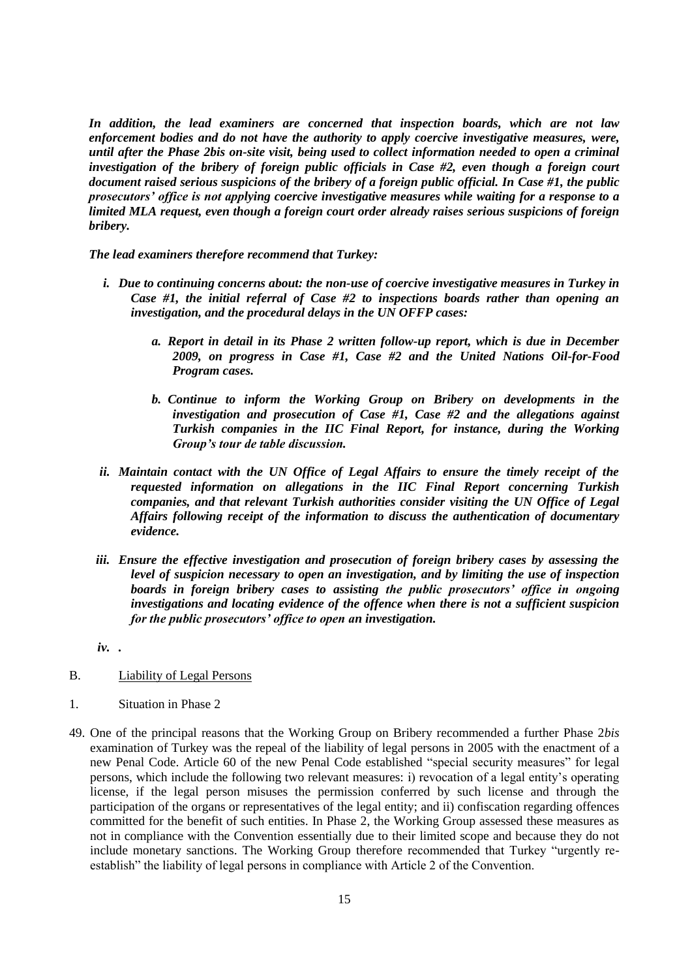*In addition, the lead examiners are concerned that inspection boards, which are not law enforcement bodies and do not have the authority to apply coercive investigative measures, were, until after the Phase 2bis on-site visit, being used to collect information needed to open a criminal investigation of the bribery of foreign public officials in Case #2, even though a foreign court document raised serious suspicions of the bribery of a foreign public official. In Case #1, the public prosecutors' office is not applying coercive investigative measures while waiting for a response to a limited MLA request, even though a foreign court order already raises serious suspicions of foreign bribery.* 

*The lead examiners therefore recommend that Turkey:*

- *i. Due to continuing concerns about: the non-use of coercive investigative measures in Turkey in Case #1, the initial referral of Case #2 to inspections boards rather than opening an investigation, and the procedural delays in the UN OFFP cases:*
	- *a. Report in detail in its Phase 2 written follow-up report, which is due in December 2009, on progress in Case #1, Case #2 and the United Nations Oil-for-Food Program cases.*
	- *b. Continue to inform the Working Group on Bribery on developments in the investigation and prosecution of Case #1, Case #2 and the allegations against Turkish companies in the IIC Final Report, for instance, during the Working Group's tour de table discussion.*
- *ii. Maintain contact with the UN Office of Legal Affairs to ensure the timely receipt of the requested information on allegations in the IIC Final Report concerning Turkish companies, and that relevant Turkish authorities consider visiting the UN Office of Legal Affairs following receipt of the information to discuss the authentication of documentary evidence.*
- *iii. Ensure the effective investigation and prosecution of foreign bribery cases by assessing the level of suspicion necessary to open an investigation, and by limiting the use of inspection boards in foreign bribery cases to assisting the public prosecutors' office in ongoing investigations and locating evidence of the offence when there is not a sufficient suspicion for the public prosecutors' office to open an investigation.*
- *iv. .*
- B. Liability of Legal Persons
- 1. Situation in Phase 2
- 49. One of the principal reasons that the Working Group on Bribery recommended a further Phase 2*bis* examination of Turkey was the repeal of the liability of legal persons in 2005 with the enactment of a new Penal Code. Article 60 of the new Penal Code established "special security measures" for legal persons, which include the following two relevant measures: i) revocation of a legal entity's operating license, if the legal person misuses the permission conferred by such license and through the participation of the organs or representatives of the legal entity; and ii) confiscation regarding offences committed for the benefit of such entities. In Phase 2, the Working Group assessed these measures as not in compliance with the Convention essentially due to their limited scope and because they do not include monetary sanctions. The Working Group therefore recommended that Turkey "urgently reestablish" the liability of legal persons in compliance with Article 2 of the Convention.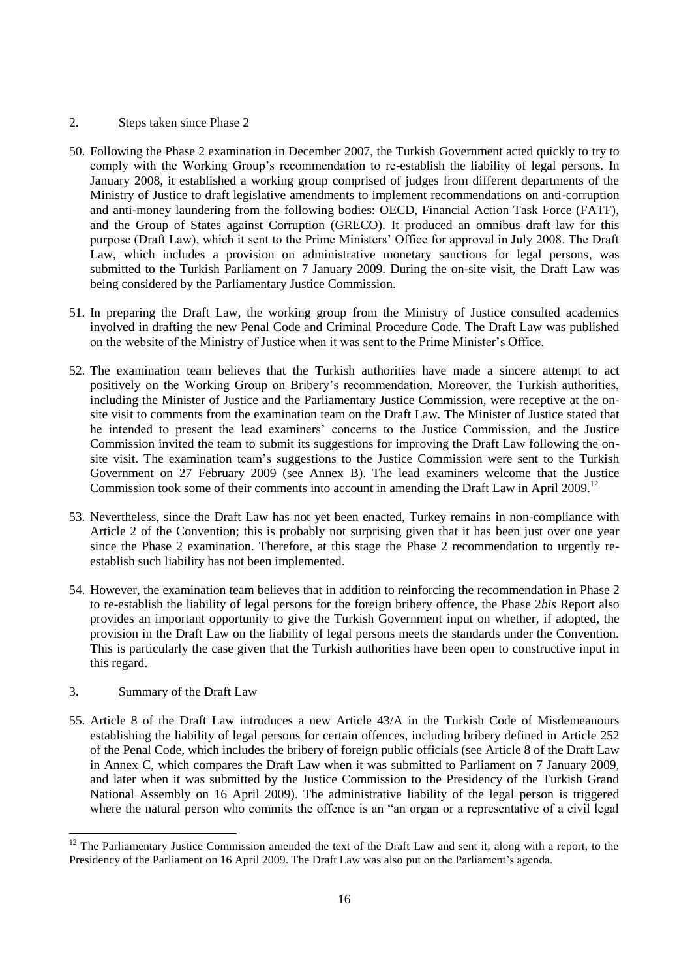## 2. Steps taken since Phase 2

- 50. Following the Phase 2 examination in December 2007, the Turkish Government acted quickly to try to comply with the Working Group's recommendation to re-establish the liability of legal persons. In January 2008, it established a working group comprised of judges from different departments of the Ministry of Justice to draft legislative amendments to implement recommendations on anti-corruption and anti-money laundering from the following bodies: OECD, Financial Action Task Force (FATF), and the Group of States against Corruption (GRECO). It produced an omnibus draft law for this purpose (Draft Law), which it sent to the Prime Ministers' Office for approval in July 2008. The Draft Law, which includes a provision on administrative monetary sanctions for legal persons, was submitted to the Turkish Parliament on 7 January 2009. During the on-site visit, the Draft Law was being considered by the Parliamentary Justice Commission.
- 51. In preparing the Draft Law, the working group from the Ministry of Justice consulted academics involved in drafting the new Penal Code and Criminal Procedure Code. The Draft Law was published on the website of the Ministry of Justice when it was sent to the Prime Minister's Office.
- 52. The examination team believes that the Turkish authorities have made a sincere attempt to act positively on the Working Group on Bribery's recommendation. Moreover, the Turkish authorities, including the Minister of Justice and the Parliamentary Justice Commission, were receptive at the onsite visit to comments from the examination team on the Draft Law. The Minister of Justice stated that he intended to present the lead examiners' concerns to the Justice Commission, and the Justice Commission invited the team to submit its suggestions for improving the Draft Law following the onsite visit. The examination team's suggestions to the Justice Commission were sent to the Turkish Government on 27 February 2009 (see Annex B). The lead examiners welcome that the Justice Commission took some of their comments into account in amending the Draft Law in April 2009.<sup>12</sup>
- 53. Nevertheless, since the Draft Law has not yet been enacted, Turkey remains in non-compliance with Article 2 of the Convention; this is probably not surprising given that it has been just over one year since the Phase 2 examination. Therefore, at this stage the Phase 2 recommendation to urgently reestablish such liability has not been implemented.
- 54. However, the examination team believes that in addition to reinforcing the recommendation in Phase 2 to re-establish the liability of legal persons for the foreign bribery offence, the Phase 2*bis* Report also provides an important opportunity to give the Turkish Government input on whether, if adopted, the provision in the Draft Law on the liability of legal persons meets the standards under the Convention. This is particularly the case given that the Turkish authorities have been open to constructive input in this regard.

## 3. Summary of the Draft Law

l

55. Article 8 of the Draft Law introduces a new Article 43/A in the Turkish Code of Misdemeanours establishing the liability of legal persons for certain offences, including bribery defined in Article 252 of the Penal Code, which includes the bribery of foreign public officials (see Article 8 of the Draft Law in Annex C, which compares the Draft Law when it was submitted to Parliament on 7 January 2009, and later when it was submitted by the Justice Commission to the Presidency of the Turkish Grand National Assembly on 16 April 2009). The administrative liability of the legal person is triggered where the natural person who commits the offence is an "an organ or a representative of a civil legal

 $12$  The Parliamentary Justice Commission amended the text of the Draft Law and sent it, along with a report, to the Presidency of the Parliament on 16 April 2009. The Draft Law was also put on the Parliament's agenda.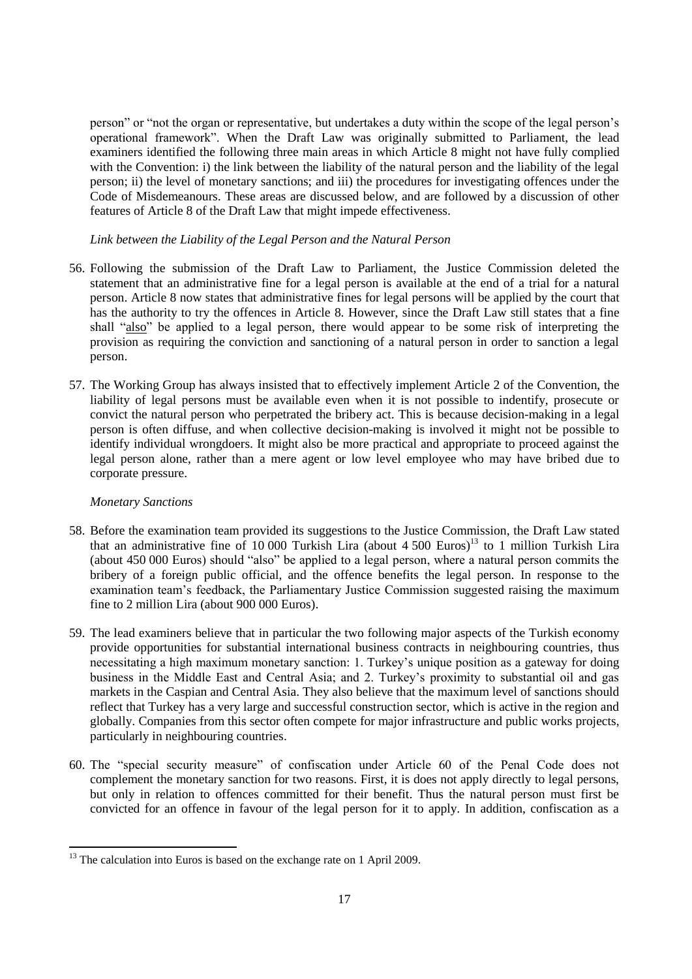person" or "not the organ or representative, but undertakes a duty within the scope of the legal person's operational framework". When the Draft Law was originally submitted to Parliament, the lead examiners identified the following three main areas in which Article 8 might not have fully complied with the Convention: i) the link between the liability of the natural person and the liability of the legal person; ii) the level of monetary sanctions; and iii) the procedures for investigating offences under the Code of Misdemeanours. These areas are discussed below, and are followed by a discussion of other features of Article 8 of the Draft Law that might impede effectiveness.

*Link between the Liability of the Legal Person and the Natural Person*

- 56. Following the submission of the Draft Law to Parliament, the Justice Commission deleted the statement that an administrative fine for a legal person is available at the end of a trial for a natural person. Article 8 now states that administrative fines for legal persons will be applied by the court that has the authority to try the offences in Article 8. However, since the Draft Law still states that a fine shall "also" be applied to a legal person, there would appear to be some risk of interpreting the provision as requiring the conviction and sanctioning of a natural person in order to sanction a legal person.
- 57. The Working Group has always insisted that to effectively implement Article 2 of the Convention, the liability of legal persons must be available even when it is not possible to indentify, prosecute or convict the natural person who perpetrated the bribery act. This is because decision-making in a legal person is often diffuse, and when collective decision-making is involved it might not be possible to identify individual wrongdoers. It might also be more practical and appropriate to proceed against the legal person alone, rather than a mere agent or low level employee who may have bribed due to corporate pressure.

## *Monetary Sanctions*

 $\overline{\phantom{a}}$ 

- 58. Before the examination team provided its suggestions to the Justice Commission, the Draft Law stated that an administrative fine of 10 000 Turkish Lira (about 4 500 Euros)<sup>13</sup> to 1 million Turkish Lira (about 450 000 Euros) should "also" be applied to a legal person, where a natural person commits the bribery of a foreign public official, and the offence benefits the legal person. In response to the examination team's feedback, the Parliamentary Justice Commission suggested raising the maximum fine to 2 million Lira (about 900 000 Euros).
- 59. The lead examiners believe that in particular the two following major aspects of the Turkish economy provide opportunities for substantial international business contracts in neighbouring countries, thus necessitating a high maximum monetary sanction: 1. Turkey's unique position as a gateway for doing business in the Middle East and Central Asia; and 2. Turkey's proximity to substantial oil and gas markets in the Caspian and Central Asia. They also believe that the maximum level of sanctions should reflect that Turkey has a very large and successful construction sector, which is active in the region and globally. Companies from this sector often compete for major infrastructure and public works projects, particularly in neighbouring countries.
- 60. The "special security measure" of confiscation under Article 60 of the Penal Code does not complement the monetary sanction for two reasons. First, it is does not apply directly to legal persons, but only in relation to offences committed for their benefit. Thus the natural person must first be convicted for an offence in favour of the legal person for it to apply. In addition, confiscation as a

<sup>&</sup>lt;sup>13</sup> The calculation into Euros is based on the exchange rate on 1 April 2009.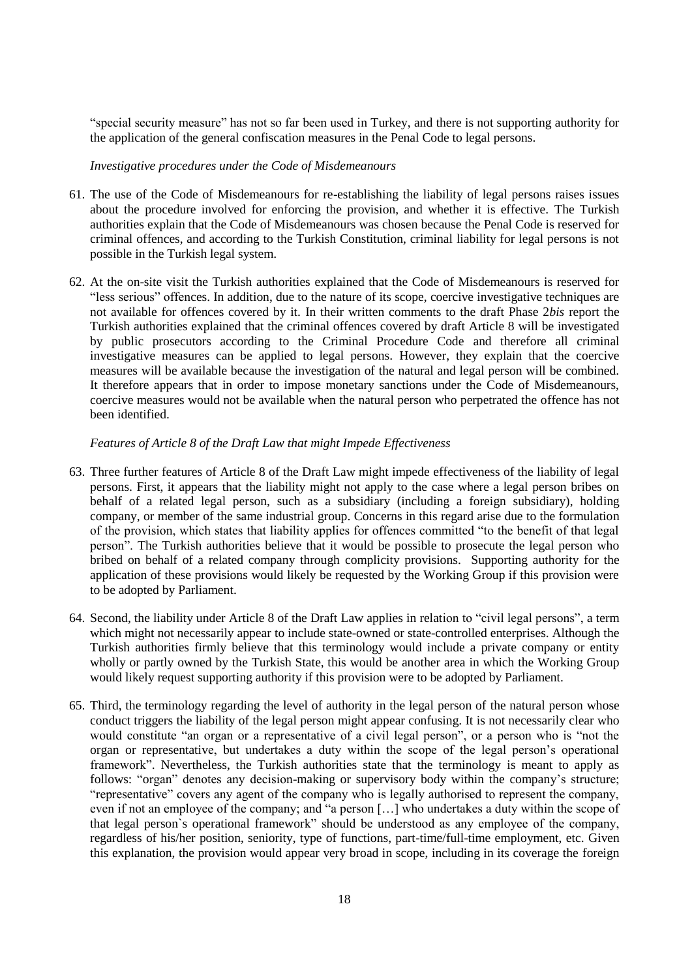"special security measure" has not so far been used in Turkey, and there is not supporting authority for the application of the general confiscation measures in the Penal Code to legal persons.

*Investigative procedures under the Code of Misdemeanours*

- 61. The use of the Code of Misdemeanours for re-establishing the liability of legal persons raises issues about the procedure involved for enforcing the provision, and whether it is effective. The Turkish authorities explain that the Code of Misdemeanours was chosen because the Penal Code is reserved for criminal offences, and according to the Turkish Constitution, criminal liability for legal persons is not possible in the Turkish legal system.
- 62. At the on-site visit the Turkish authorities explained that the Code of Misdemeanours is reserved for "less serious" offences. In addition, due to the nature of its scope, coercive investigative techniques are not available for offences covered by it. In their written comments to the draft Phase 2*bis* report the Turkish authorities explained that the criminal offences covered by draft Article 8 will be investigated by public prosecutors according to the Criminal Procedure Code and therefore all criminal investigative measures can be applied to legal persons. However, they explain that the coercive measures will be available because the investigation of the natural and legal person will be combined. It therefore appears that in order to impose monetary sanctions under the Code of Misdemeanours, coercive measures would not be available when the natural person who perpetrated the offence has not been identified.

## *Features of Article 8 of the Draft Law that might Impede Effectiveness*

- 63. Three further features of Article 8 of the Draft Law might impede effectiveness of the liability of legal persons. First, it appears that the liability might not apply to the case where a legal person bribes on behalf of a related legal person, such as a subsidiary (including a foreign subsidiary), holding company, or member of the same industrial group. Concerns in this regard arise due to the formulation of the provision, which states that liability applies for offences committed "to the benefit of that legal person". The Turkish authorities believe that it would be possible to prosecute the legal person who bribed on behalf of a related company through complicity provisions. Supporting authority for the application of these provisions would likely be requested by the Working Group if this provision were to be adopted by Parliament.
- 64. Second, the liability under Article 8 of the Draft Law applies in relation to "civil legal persons", a term which might not necessarily appear to include state-owned or state-controlled enterprises. Although the Turkish authorities firmly believe that this terminology would include a private company or entity wholly or partly owned by the Turkish State, this would be another area in which the Working Group would likely request supporting authority if this provision were to be adopted by Parliament.
- 65. Third, the terminology regarding the level of authority in the legal person of the natural person whose conduct triggers the liability of the legal person might appear confusing. It is not necessarily clear who would constitute "an organ or a representative of a civil legal person", or a person who is "not the organ or representative, but undertakes a duty within the scope of the legal person's operational framework". Nevertheless, the Turkish authorities state that the terminology is meant to apply as follows: "organ" denotes any decision-making or supervisory body within the company's structure; "representative" covers any agent of the company who is legally authorised to represent the company, even if not an employee of the company; and "a person […] who undertakes a duty within the scope of that legal person`s operational framework" should be understood as any employee of the company, regardless of his/her position, seniority, type of functions, part-time/full-time employment, etc. Given this explanation, the provision would appear very broad in scope, including in its coverage the foreign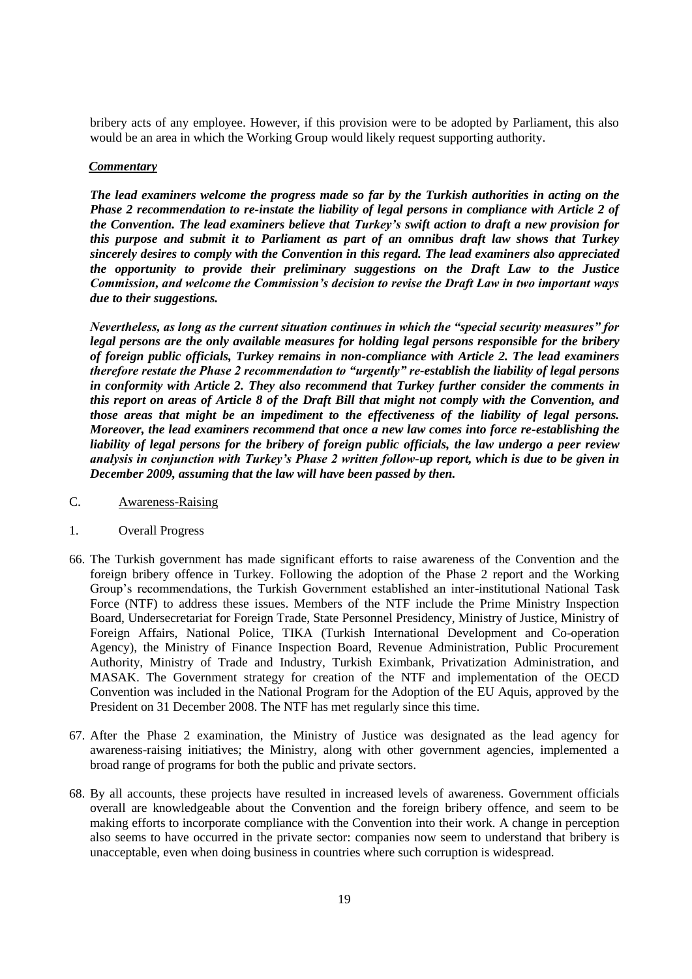bribery acts of any employee. However, if this provision were to be adopted by Parliament, this also would be an area in which the Working Group would likely request supporting authority.

#### *Commentary*

*The lead examiners welcome the progress made so far by the Turkish authorities in acting on the Phase 2 recommendation to re-instate the liability of legal persons in compliance with Article 2 of the Convention. The lead examiners believe that Turkey's swift action to draft a new provision for this purpose and submit it to Parliament as part of an omnibus draft law shows that Turkey sincerely desires to comply with the Convention in this regard. The lead examiners also appreciated the opportunity to provide their preliminary suggestions on the Draft Law to the Justice Commission, and welcome the Commission's decision to revise the Draft Law in two important ways due to their suggestions.* 

*Nevertheless, as long as the current situation continues in which the "special security measures" for legal persons are the only available measures for holding legal persons responsible for the bribery of foreign public officials, Turkey remains in non-compliance with Article 2. The lead examiners therefore restate the Phase 2 recommendation to "urgently" re-establish the liability of legal persons in conformity with Article 2. They also recommend that Turkey further consider the comments in this report on areas of Article 8 of the Draft Bill that might not comply with the Convention, and those areas that might be an impediment to the effectiveness of the liability of legal persons. Moreover, the lead examiners recommend that once a new law comes into force re-establishing the liability of legal persons for the bribery of foreign public officials, the law undergo a peer review analysis in conjunction with Turkey's Phase 2 written follow-up report, which is due to be given in December 2009, assuming that the law will have been passed by then.* 

- C. Awareness-Raising
- 1. Overall Progress
- 66. The Turkish government has made significant efforts to raise awareness of the Convention and the foreign bribery offence in Turkey. Following the adoption of the Phase 2 report and the Working Group's recommendations, the Turkish Government established an inter-institutional National Task Force (NTF) to address these issues. Members of the NTF include the Prime Ministry Inspection Board, Undersecretariat for Foreign Trade, State Personnel Presidency, Ministry of Justice, Ministry of Foreign Affairs, National Police, TIKA (Turkish International Development and Co-operation Agency), the Ministry of Finance Inspection Board, Revenue Administration, Public Procurement Authority, Ministry of Trade and Industry, Turkish Eximbank, Privatization Administration, and MASAK. The Government strategy for creation of the NTF and implementation of the OECD Convention was included in the National Program for the Adoption of the EU Aquis, approved by the President on 31 December 2008. The NTF has met regularly since this time.
- 67. After the Phase 2 examination, the Ministry of Justice was designated as the lead agency for awareness-raising initiatives; the Ministry, along with other government agencies, implemented a broad range of programs for both the public and private sectors.
- 68. By all accounts, these projects have resulted in increased levels of awareness. Government officials overall are knowledgeable about the Convention and the foreign bribery offence, and seem to be making efforts to incorporate compliance with the Convention into their work. A change in perception also seems to have occurred in the private sector: companies now seem to understand that bribery is unacceptable, even when doing business in countries where such corruption is widespread.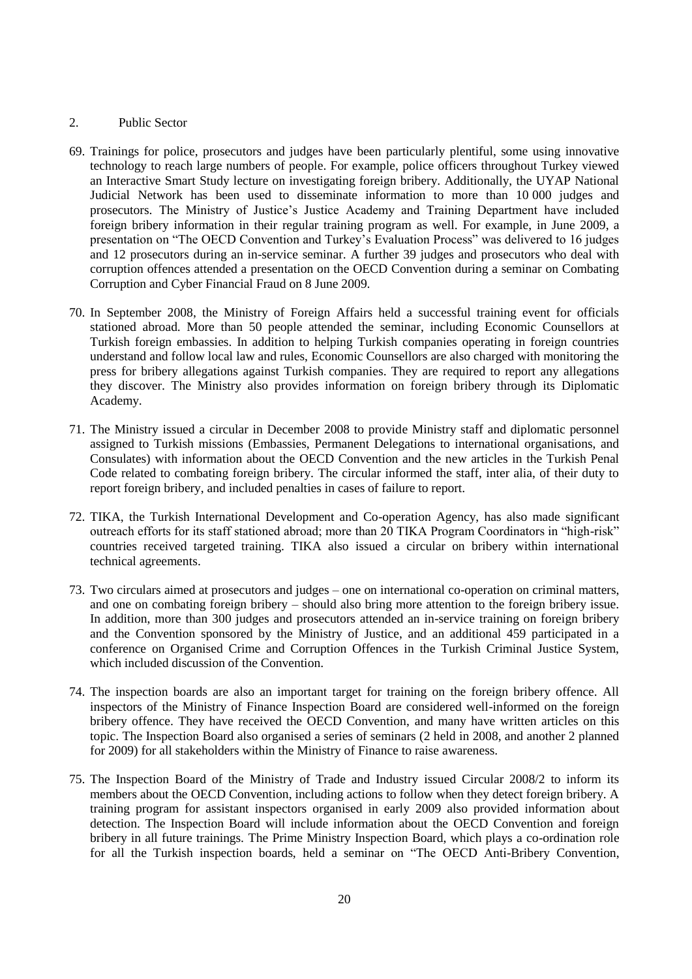#### 2. Public Sector

- 69. Trainings for police, prosecutors and judges have been particularly plentiful, some using innovative technology to reach large numbers of people. For example, police officers throughout Turkey viewed an Interactive Smart Study lecture on investigating foreign bribery. Additionally, the UYAP National Judicial Network has been used to disseminate information to more than 10 000 judges and prosecutors. The Ministry of Justice's Justice Academy and Training Department have included foreign bribery information in their regular training program as well. For example, in June 2009, a presentation on "The OECD Convention and Turkey's Evaluation Process" was delivered to 16 judges and 12 prosecutors during an in-service seminar. A further 39 judges and prosecutors who deal with corruption offences attended a presentation on the OECD Convention during a seminar on Combating Corruption and Cyber Financial Fraud on 8 June 2009.
- 70. In September 2008, the Ministry of Foreign Affairs held a successful training event for officials stationed abroad. More than 50 people attended the seminar, including Economic Counsellors at Turkish foreign embassies. In addition to helping Turkish companies operating in foreign countries understand and follow local law and rules, Economic Counsellors are also charged with monitoring the press for bribery allegations against Turkish companies. They are required to report any allegations they discover. The Ministry also provides information on foreign bribery through its Diplomatic Academy.
- 71. The Ministry issued a circular in December 2008 to provide Ministry staff and diplomatic personnel assigned to Turkish missions (Embassies, Permanent Delegations to international organisations, and Consulates) with information about the OECD Convention and the new articles in the Turkish Penal Code related to combating foreign bribery. The circular informed the staff, inter alia, of their duty to report foreign bribery, and included penalties in cases of failure to report.
- 72. TIKA, the Turkish International Development and Co-operation Agency, has also made significant outreach efforts for its staff stationed abroad; more than 20 TIKA Program Coordinators in "high-risk" countries received targeted training. TIKA also issued a circular on bribery within international technical agreements.
- 73. Two circulars aimed at prosecutors and judges one on international co-operation on criminal matters, and one on combating foreign bribery – should also bring more attention to the foreign bribery issue. In addition, more than 300 judges and prosecutors attended an in-service training on foreign bribery and the Convention sponsored by the Ministry of Justice, and an additional 459 participated in a conference on Organised Crime and Corruption Offences in the Turkish Criminal Justice System, which included discussion of the Convention.
- 74. The inspection boards are also an important target for training on the foreign bribery offence. All inspectors of the Ministry of Finance Inspection Board are considered well-informed on the foreign bribery offence. They have received the OECD Convention, and many have written articles on this topic. The Inspection Board also organised a series of seminars (2 held in 2008, and another 2 planned for 2009) for all stakeholders within the Ministry of Finance to raise awareness.
- 75. The Inspection Board of the Ministry of Trade and Industry issued Circular 2008/2 to inform its members about the OECD Convention, including actions to follow when they detect foreign bribery. A training program for assistant inspectors organised in early 2009 also provided information about detection. The Inspection Board will include information about the OECD Convention and foreign bribery in all future trainings. The Prime Ministry Inspection Board, which plays a co-ordination role for all the Turkish inspection boards, held a seminar on "The OECD Anti-Bribery Convention,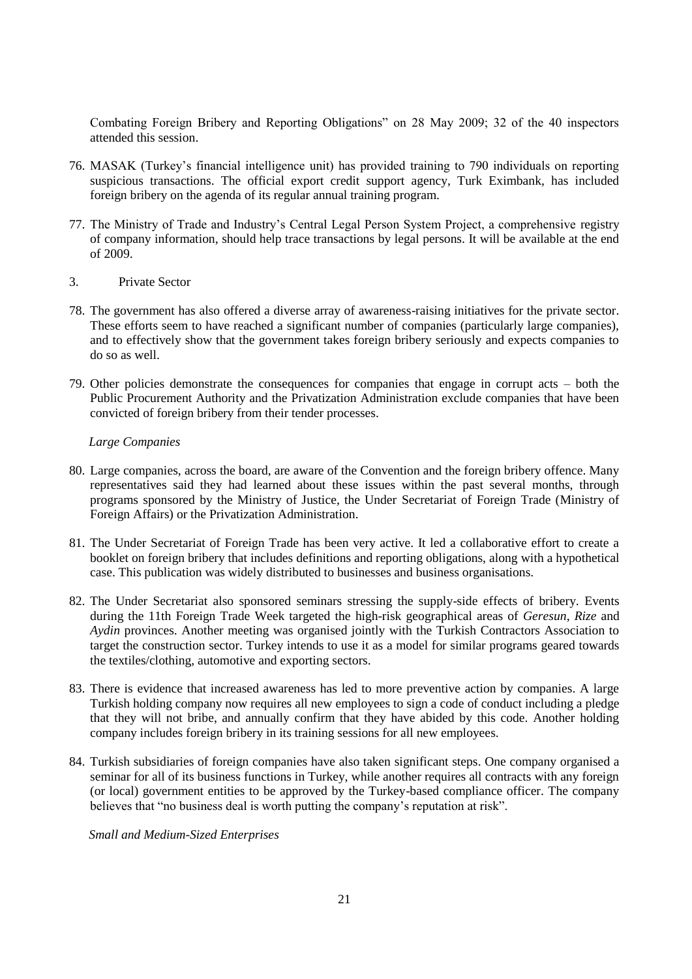Combating Foreign Bribery and Reporting Obligations" on 28 May 2009; 32 of the 40 inspectors attended this session.

- 76. MASAK (Turkey's financial intelligence unit) has provided training to 790 individuals on reporting suspicious transactions. The official export credit support agency, Turk Eximbank, has included foreign bribery on the agenda of its regular annual training program.
- 77. The Ministry of Trade and Industry's Central Legal Person System Project, a comprehensive registry of company information, should help trace transactions by legal persons. It will be available at the end of 2009.
- 3. Private Sector
- 78. The government has also offered a diverse array of awareness-raising initiatives for the private sector. These efforts seem to have reached a significant number of companies (particularly large companies), and to effectively show that the government takes foreign bribery seriously and expects companies to do so as well.
- 79. Other policies demonstrate the consequences for companies that engage in corrupt acts both the Public Procurement Authority and the Privatization Administration exclude companies that have been convicted of foreign bribery from their tender processes.

#### *Large Companies*

- 80. Large companies, across the board, are aware of the Convention and the foreign bribery offence. Many representatives said they had learned about these issues within the past several months, through programs sponsored by the Ministry of Justice, the Under Secretariat of Foreign Trade (Ministry of Foreign Affairs) or the Privatization Administration.
- 81. The Under Secretariat of Foreign Trade has been very active. It led a collaborative effort to create a booklet on foreign bribery that includes definitions and reporting obligations, along with a hypothetical case. This publication was widely distributed to businesses and business organisations.
- 82. The Under Secretariat also sponsored seminars stressing the supply-side effects of bribery. Events during the 11th Foreign Trade Week targeted the high-risk geographical areas of *Geresun*, *Rize* and *Aydin* provinces. Another meeting was organised jointly with the Turkish Contractors Association to target the construction sector. Turkey intends to use it as a model for similar programs geared towards the textiles/clothing, automotive and exporting sectors.
- 83. There is evidence that increased awareness has led to more preventive action by companies. A large Turkish holding company now requires all new employees to sign a code of conduct including a pledge that they will not bribe, and annually confirm that they have abided by this code. Another holding company includes foreign bribery in its training sessions for all new employees.
- 84. Turkish subsidiaries of foreign companies have also taken significant steps. One company organised a seminar for all of its business functions in Turkey, while another requires all contracts with any foreign (or local) government entities to be approved by the Turkey-based compliance officer. The company believes that "no business deal is worth putting the company's reputation at risk".

*Small and Medium-Sized Enterprises*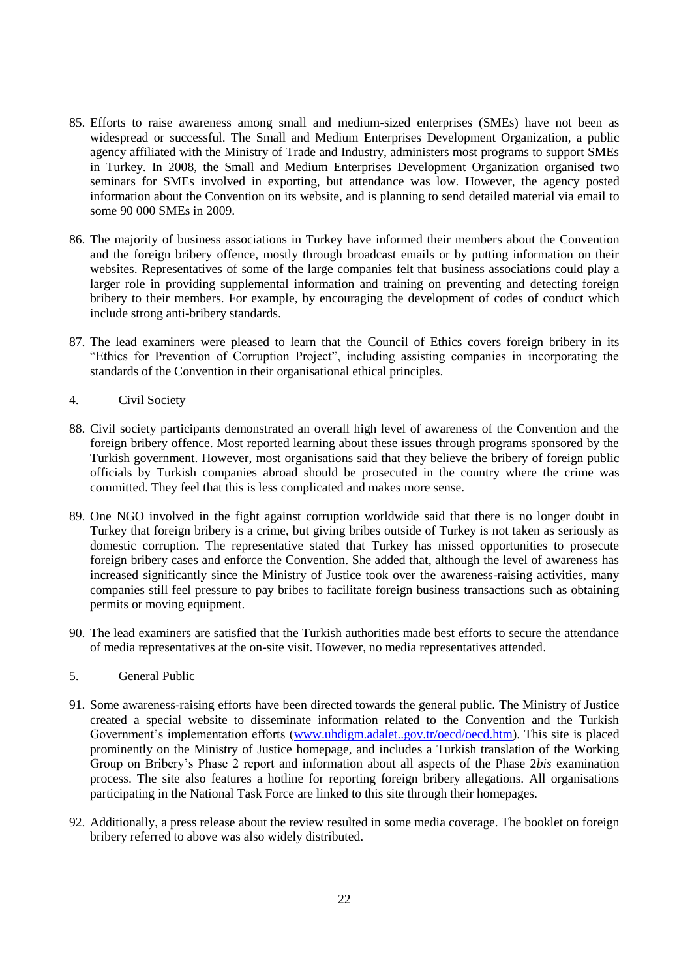- 85. Efforts to raise awareness among small and medium-sized enterprises (SMEs) have not been as widespread or successful. The Small and Medium Enterprises Development Organization, a public agency affiliated with the Ministry of Trade and Industry, administers most programs to support SMEs in Turkey. In 2008, the Small and Medium Enterprises Development Organization organised two seminars for SMEs involved in exporting, but attendance was low. However, the agency posted information about the Convention on its website, and is planning to send detailed material via email to some 90 000 SMEs in 2009.
- 86. The majority of business associations in Turkey have informed their members about the Convention and the foreign bribery offence, mostly through broadcast emails or by putting information on their websites. Representatives of some of the large companies felt that business associations could play a larger role in providing supplemental information and training on preventing and detecting foreign bribery to their members. For example, by encouraging the development of codes of conduct which include strong anti-bribery standards.
- 87. The lead examiners were pleased to learn that the Council of Ethics covers foreign bribery in its "Ethics for Prevention of Corruption Project", including assisting companies in incorporating the standards of the Convention in their organisational ethical principles.
- 4. Civil Society
- 88. Civil society participants demonstrated an overall high level of awareness of the Convention and the foreign bribery offence. Most reported learning about these issues through programs sponsored by the Turkish government. However, most organisations said that they believe the bribery of foreign public officials by Turkish companies abroad should be prosecuted in the country where the crime was committed. They feel that this is less complicated and makes more sense.
- 89. One NGO involved in the fight against corruption worldwide said that there is no longer doubt in Turkey that foreign bribery is a crime, but giving bribes outside of Turkey is not taken as seriously as domestic corruption. The representative stated that Turkey has missed opportunities to prosecute foreign bribery cases and enforce the Convention. She added that, although the level of awareness has increased significantly since the Ministry of Justice took over the awareness-raising activities, many companies still feel pressure to pay bribes to facilitate foreign business transactions such as obtaining permits or moving equipment.
- 90. The lead examiners are satisfied that the Turkish authorities made best efforts to secure the attendance of media representatives at the on-site visit. However, no media representatives attended.
- 5. General Public
- 91. Some awareness-raising efforts have been directed towards the general public. The Ministry of Justice created a special website to disseminate information related to the Convention and the Turkish Government's implementation efforts [\(www.uhdigm.adalet..gov.tr/oecd/oecd.htm\)](http://www.uhdigm.adalet..gov.tr/oecd/oecd.htm). This site is placed prominently on the Ministry of Justice homepage, and includes a Turkish translation of the Working Group on Bribery's Phase 2 report and information about all aspects of the Phase 2*bis* examination process. The site also features a hotline for reporting foreign bribery allegations. All organisations participating in the National Task Force are linked to this site through their homepages.
- 92. Additionally, a press release about the review resulted in some media coverage. The booklet on foreign bribery referred to above was also widely distributed.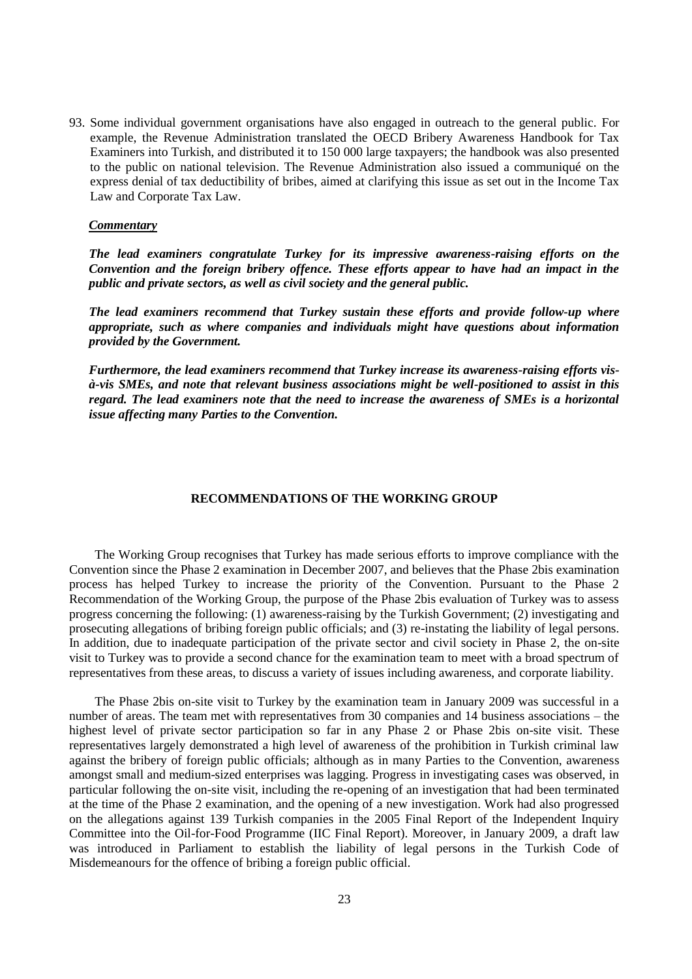93. Some individual government organisations have also engaged in outreach to the general public. For example, the Revenue Administration translated the OECD Bribery Awareness Handbook for Tax Examiners into Turkish, and distributed it to 150 000 large taxpayers; the handbook was also presented to the public on national television. The Revenue Administration also issued a communiqué on the express denial of tax deductibility of bribes, aimed at clarifying this issue as set out in the Income Tax Law and Corporate Tax Law.

#### *Commentary*

*The lead examiners congratulate Turkey for its impressive awareness-raising efforts on the Convention and the foreign bribery offence. These efforts appear to have had an impact in the public and private sectors, as well as civil society and the general public.* 

*The lead examiners recommend that Turkey sustain these efforts and provide follow-up where appropriate, such as where companies and individuals might have questions about information provided by the Government.* 

*Furthermore, the lead examiners recommend that Turkey increase its awareness-raising efforts visà-vis SMEs, and note that relevant business associations might be well-positioned to assist in this regard. The lead examiners note that the need to increase the awareness of SMEs is a horizontal issue affecting many Parties to the Convention.* 

#### **RECOMMENDATIONS OF THE WORKING GROUP**

The Working Group recognises that Turkey has made serious efforts to improve compliance with the Convention since the Phase 2 examination in December 2007, and believes that the Phase 2bis examination process has helped Turkey to increase the priority of the Convention. Pursuant to the Phase 2 Recommendation of the Working Group, the purpose of the Phase 2bis evaluation of Turkey was to assess progress concerning the following: (1) awareness-raising by the Turkish Government; (2) investigating and prosecuting allegations of bribing foreign public officials; and (3) re-instating the liability of legal persons. In addition, due to inadequate participation of the private sector and civil society in Phase 2, the on-site visit to Turkey was to provide a second chance for the examination team to meet with a broad spectrum of representatives from these areas, to discuss a variety of issues including awareness, and corporate liability.

The Phase 2bis on-site visit to Turkey by the examination team in January 2009 was successful in a number of areas. The team met with representatives from 30 companies and 14 business associations – the highest level of private sector participation so far in any Phase 2 or Phase 2bis on-site visit. These representatives largely demonstrated a high level of awareness of the prohibition in Turkish criminal law against the bribery of foreign public officials; although as in many Parties to the Convention, awareness amongst small and medium-sized enterprises was lagging. Progress in investigating cases was observed, in particular following the on-site visit, including the re-opening of an investigation that had been terminated at the time of the Phase 2 examination, and the opening of a new investigation. Work had also progressed on the allegations against 139 Turkish companies in the 2005 Final Report of the Independent Inquiry Committee into the Oil-for-Food Programme (IIC Final Report). Moreover, in January 2009, a draft law was introduced in Parliament to establish the liability of legal persons in the Turkish Code of Misdemeanours for the offence of bribing a foreign public official.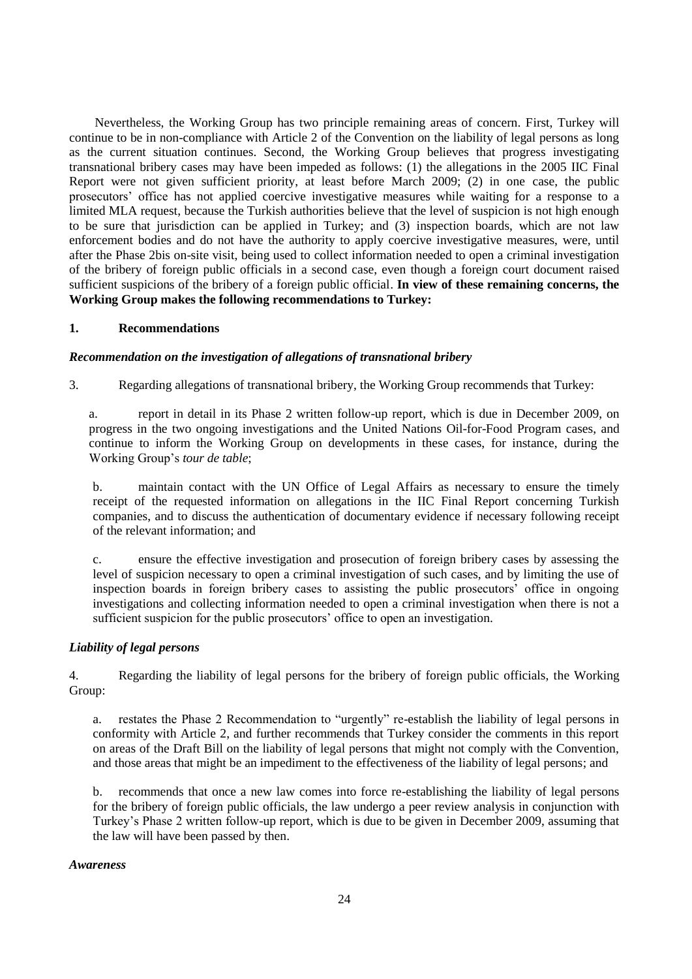Nevertheless, the Working Group has two principle remaining areas of concern. First, Turkey will continue to be in non-compliance with Article 2 of the Convention on the liability of legal persons as long as the current situation continues. Second, the Working Group believes that progress investigating transnational bribery cases may have been impeded as follows: (1) the allegations in the 2005 IIC Final Report were not given sufficient priority, at least before March 2009; (2) in one case, the public prosecutors' office has not applied coercive investigative measures while waiting for a response to a limited MLA request, because the Turkish authorities believe that the level of suspicion is not high enough to be sure that jurisdiction can be applied in Turkey; and (3) inspection boards, which are not law enforcement bodies and do not have the authority to apply coercive investigative measures, were, until after the Phase 2bis on-site visit, being used to collect information needed to open a criminal investigation of the bribery of foreign public officials in a second case, even though a foreign court document raised sufficient suspicions of the bribery of a foreign public official. **In view of these remaining concerns, the Working Group makes the following recommendations to Turkey:**

## **1. Recommendations**

#### *Recommendation on the investigation of allegations of transnational bribery*

3. Regarding allegations of transnational bribery, the Working Group recommends that Turkey:

report in detail in its Phase 2 written follow-up report, which is due in December 2009, on progress in the two ongoing investigations and the United Nations Oil-for-Food Program cases, and continue to inform the Working Group on developments in these cases, for instance, during the Working Group's *tour de table*;

b. maintain contact with the UN Office of Legal Affairs as necessary to ensure the timely receipt of the requested information on allegations in the IIC Final Report concerning Turkish companies, and to discuss the authentication of documentary evidence if necessary following receipt of the relevant information; and

c. ensure the effective investigation and prosecution of foreign bribery cases by assessing the level of suspicion necessary to open a criminal investigation of such cases, and by limiting the use of inspection boards in foreign bribery cases to assisting the public prosecutors' office in ongoing investigations and collecting information needed to open a criminal investigation when there is not a sufficient suspicion for the public prosecutors' office to open an investigation.

## *Liability of legal persons*

4. Regarding the liability of legal persons for the bribery of foreign public officials, the Working Group:

a. restates the Phase 2 Recommendation to "urgently" re-establish the liability of legal persons in conformity with Article 2, and further recommends that Turkey consider the comments in this report on areas of the Draft Bill on the liability of legal persons that might not comply with the Convention, and those areas that might be an impediment to the effectiveness of the liability of legal persons; and

b. recommends that once a new law comes into force re-establishing the liability of legal persons for the bribery of foreign public officials, the law undergo a peer review analysis in conjunction with Turkey's Phase 2 written follow-up report, which is due to be given in December 2009, assuming that the law will have been passed by then.

#### *Awareness*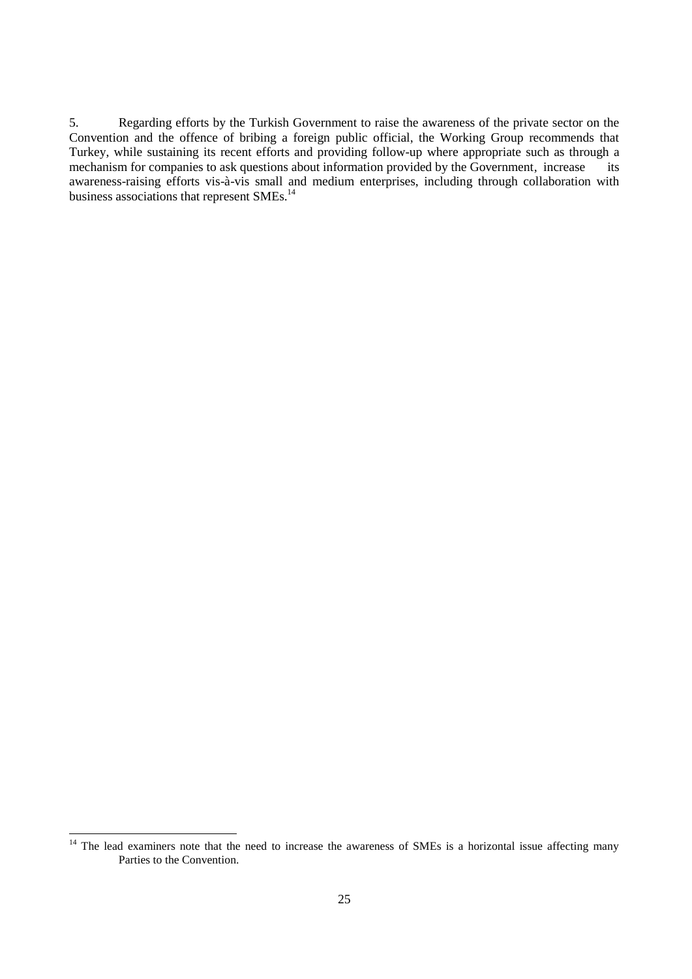5. Regarding efforts by the Turkish Government to raise the awareness of the private sector on the Convention and the offence of bribing a foreign public official, the Working Group recommends that Turkey, while sustaining its recent efforts and providing follow-up where appropriate such as through a mechanism for companies to ask questions about information provided by the Government, increase its awareness-raising efforts vis-à-vis small and medium enterprises, including through collaboration with business associations that represent SMEs.<sup>14</sup>

 $14$  The lead examiners note that the need to increase the awareness of SMEs is a horizontal issue affecting many Parties to the Convention.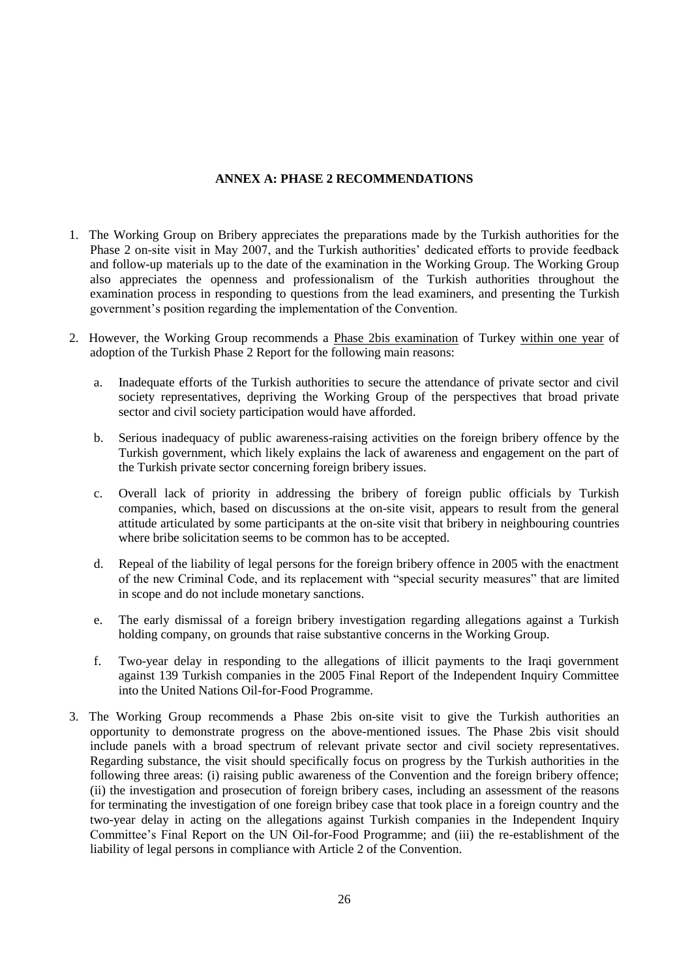## **ANNEX A: PHASE 2 RECOMMENDATIONS**

- 1. The Working Group on Bribery appreciates the preparations made by the Turkish authorities for the Phase 2 on-site visit in May 2007, and the Turkish authorities' dedicated efforts to provide feedback and follow-up materials up to the date of the examination in the Working Group. The Working Group also appreciates the openness and professionalism of the Turkish authorities throughout the examination process in responding to questions from the lead examiners, and presenting the Turkish government's position regarding the implementation of the Convention.
- 2. However, the Working Group recommends a Phase 2bis examination of Turkey within one year of adoption of the Turkish Phase 2 Report for the following main reasons:
	- a. Inadequate efforts of the Turkish authorities to secure the attendance of private sector and civil society representatives, depriving the Working Group of the perspectives that broad private sector and civil society participation would have afforded.
	- b. Serious inadequacy of public awareness-raising activities on the foreign bribery offence by the Turkish government, which likely explains the lack of awareness and engagement on the part of the Turkish private sector concerning foreign bribery issues.
	- c. Overall lack of priority in addressing the bribery of foreign public officials by Turkish companies, which, based on discussions at the on-site visit, appears to result from the general attitude articulated by some participants at the on-site visit that bribery in neighbouring countries where bribe solicitation seems to be common has to be accepted.
	- d. Repeal of the liability of legal persons for the foreign bribery offence in 2005 with the enactment of the new Criminal Code, and its replacement with "special security measures" that are limited in scope and do not include monetary sanctions.
	- e. The early dismissal of a foreign bribery investigation regarding allegations against a Turkish holding company, on grounds that raise substantive concerns in the Working Group.
	- f. Two-year delay in responding to the allegations of illicit payments to the Iraqi government against 139 Turkish companies in the 2005 Final Report of the Independent Inquiry Committee into the United Nations Oil-for-Food Programme.
- 3. The Working Group recommends a Phase 2bis on-site visit to give the Turkish authorities an opportunity to demonstrate progress on the above-mentioned issues. The Phase 2bis visit should include panels with a broad spectrum of relevant private sector and civil society representatives. Regarding substance, the visit should specifically focus on progress by the Turkish authorities in the following three areas: (i) raising public awareness of the Convention and the foreign bribery offence; (ii) the investigation and prosecution of foreign bribery cases, including an assessment of the reasons for terminating the investigation of one foreign bribey case that took place in a foreign country and the two-year delay in acting on the allegations against Turkish companies in the Independent Inquiry Committee's Final Report on the UN Oil-for-Food Programme; and (iii) the re-establishment of the liability of legal persons in compliance with Article 2 of the Convention.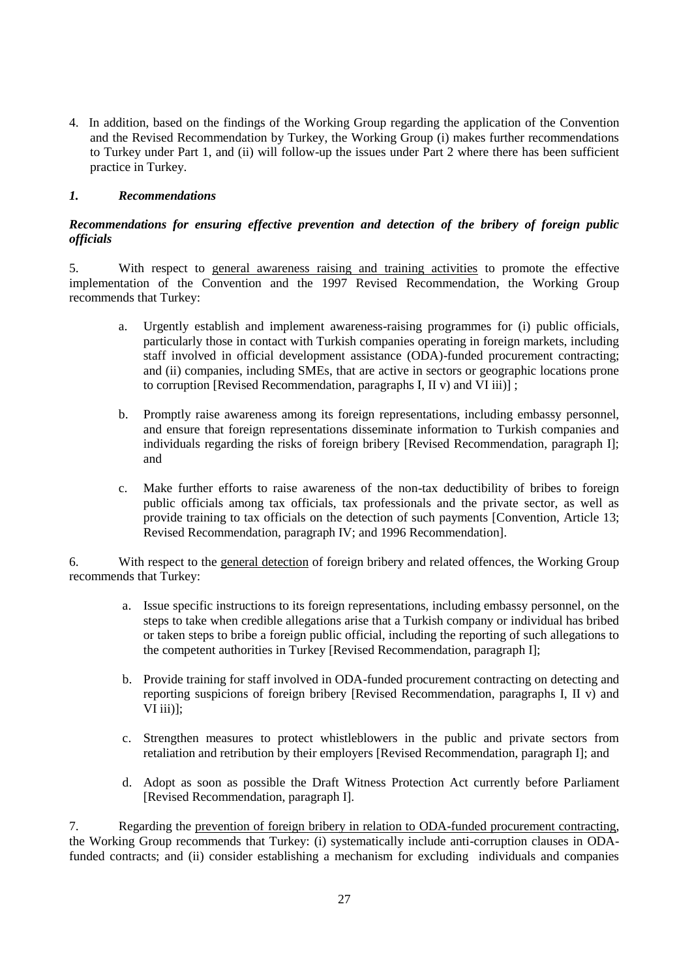4. In addition, based on the findings of the Working Group regarding the application of the Convention and the Revised Recommendation by Turkey, the Working Group (i) makes further recommendations to Turkey under Part 1, and (ii) will follow-up the issues under Part 2 where there has been sufficient practice in Turkey.

## *1. Recommendations*

## *Recommendations for ensuring effective prevention and detection of the bribery of foreign public officials*

5. With respect to general awareness raising and training activities to promote the effective implementation of the Convention and the 1997 Revised Recommendation, the Working Group recommends that Turkey:

- a. Urgently establish and implement awareness-raising programmes for (i) public officials, particularly those in contact with Turkish companies operating in foreign markets, including staff involved in official development assistance (ODA)-funded procurement contracting; and (ii) companies, including SMEs, that are active in sectors or geographic locations prone to corruption [Revised Recommendation, paragraphs I, II v) and VI iii)] ;
- b. Promptly raise awareness among its foreign representations, including embassy personnel, and ensure that foreign representations disseminate information to Turkish companies and individuals regarding the risks of foreign bribery [Revised Recommendation, paragraph I]; and
- c. Make further efforts to raise awareness of the non-tax deductibility of bribes to foreign public officials among tax officials, tax professionals and the private sector, as well as provide training to tax officials on the detection of such payments [Convention, Article 13; Revised Recommendation, paragraph IV; and 1996 Recommendation].

6. With respect to the general detection of foreign bribery and related offences, the Working Group recommends that Turkey:

- a. Issue specific instructions to its foreign representations, including embassy personnel, on the steps to take when credible allegations arise that a Turkish company or individual has bribed or taken steps to bribe a foreign public official, including the reporting of such allegations to the competent authorities in Turkey [Revised Recommendation, paragraph I];
- b. Provide training for staff involved in ODA-funded procurement contracting on detecting and reporting suspicions of foreign bribery [Revised Recommendation, paragraphs I, II v) and VI $\overline{\text{iii}}$ ];
- c. Strengthen measures to protect whistleblowers in the public and private sectors from retaliation and retribution by their employers [Revised Recommendation, paragraph I]; and
- d. Adopt as soon as possible the Draft Witness Protection Act currently before Parliament [Revised Recommendation, paragraph I].

7. Regarding the prevention of foreign bribery in relation to ODA-funded procurement contracting, the Working Group recommends that Turkey: (i) systematically include anti-corruption clauses in ODAfunded contracts; and (ii) consider establishing a mechanism for excluding individuals and companies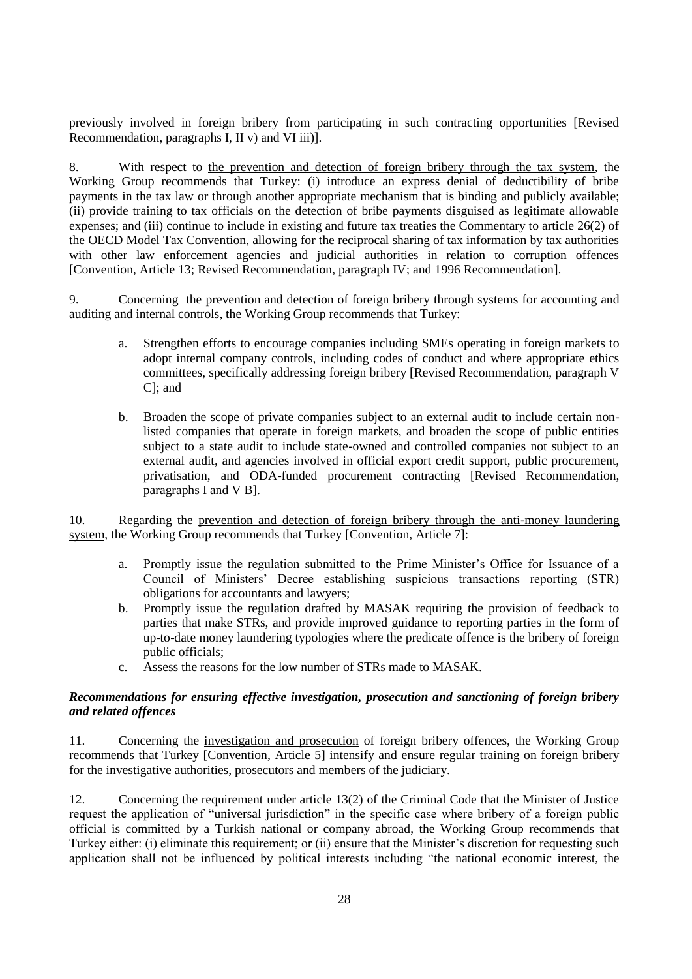previously involved in foreign bribery from participating in such contracting opportunities [Revised Recommendation, paragraphs I, II v) and VI iii)].

8. With respect to the prevention and detection of foreign bribery through the tax system, the Working Group recommends that Turkey: (i) introduce an express denial of deductibility of bribe payments in the tax law or through another appropriate mechanism that is binding and publicly available; (ii) provide training to tax officials on the detection of bribe payments disguised as legitimate allowable expenses; and (iii) continue to include in existing and future tax treaties the Commentary to article 26(2) of the OECD Model Tax Convention, allowing for the reciprocal sharing of tax information by tax authorities with other law enforcement agencies and judicial authorities in relation to corruption offences [Convention, Article 13; Revised Recommendation, paragraph IV; and 1996 Recommendation].

9. Concerning the prevention and detection of foreign bribery through systems for accounting and auditing and internal controls, the Working Group recommends that Turkey:

- a. Strengthen efforts to encourage companies including SMEs operating in foreign markets to adopt internal company controls, including codes of conduct and where appropriate ethics committees, specifically addressing foreign bribery [Revised Recommendation, paragraph V C]; and
- b. Broaden the scope of private companies subject to an external audit to include certain nonlisted companies that operate in foreign markets, and broaden the scope of public entities subject to a state audit to include state-owned and controlled companies not subject to an external audit, and agencies involved in official export credit support, public procurement, privatisation, and ODA-funded procurement contracting [Revised Recommendation, paragraphs I and V B].

10. Regarding the prevention and detection of foreign bribery through the anti-money laundering system, the Working Group recommends that Turkey [Convention, Article 7]:

- a. Promptly issue the regulation submitted to the Prime Minister's Office for Issuance of a Council of Ministers' Decree establishing suspicious transactions reporting (STR) obligations for accountants and lawyers;
- b. Promptly issue the regulation drafted by MASAK requiring the provision of feedback to parties that make STRs, and provide improved guidance to reporting parties in the form of up-to-date money laundering typologies where the predicate offence is the bribery of foreign public officials;
- c. Assess the reasons for the low number of STRs made to MASAK.

## *Recommendations for ensuring effective investigation, prosecution and sanctioning of foreign bribery and related offences*

11. Concerning the investigation and prosecution of foreign bribery offences, the Working Group recommends that Turkey [Convention, Article 5] intensify and ensure regular training on foreign bribery for the investigative authorities, prosecutors and members of the judiciary.

12. Concerning the requirement under article 13(2) of the Criminal Code that the Minister of Justice request the application of "universal jurisdiction" in the specific case where bribery of a foreign public official is committed by a Turkish national or company abroad, the Working Group recommends that Turkey either: (i) eliminate this requirement; or (ii) ensure that the Minister's discretion for requesting such application shall not be influenced by political interests including "the national economic interest, the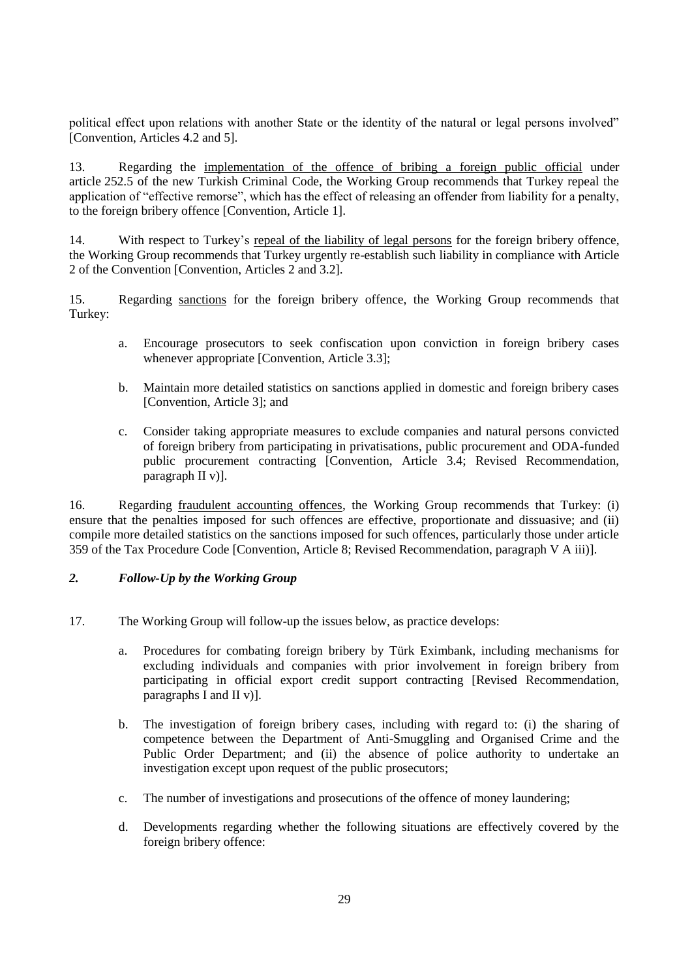political effect upon relations with another State or the identity of the natural or legal persons involved" [Convention, Articles 4.2 and 5].

13. Regarding the implementation of the offence of bribing a foreign public official under article 252.5 of the new Turkish Criminal Code, the Working Group recommends that Turkey repeal the application of "effective remorse", which has the effect of releasing an offender from liability for a penalty, to the foreign bribery offence [Convention, Article 1].

14. With respect to Turkey's repeal of the liability of legal persons for the foreign bribery offence, the Working Group recommends that Turkey urgently re-establish such liability in compliance with Article 2 of the Convention [Convention, Articles 2 and 3.2].

15. Regarding sanctions for the foreign bribery offence, the Working Group recommends that Turkey:

- a. Encourage prosecutors to seek confiscation upon conviction in foreign bribery cases whenever appropriate [Convention, Article 3.3];
- b. Maintain more detailed statistics on sanctions applied in domestic and foreign bribery cases [Convention, Article 3]; and
- c. Consider taking appropriate measures to exclude companies and natural persons convicted of foreign bribery from participating in privatisations, public procurement and ODA-funded public procurement contracting [Convention, Article 3.4; Revised Recommendation, paragraph II v)].

16. Regarding fraudulent accounting offences, the Working Group recommends that Turkey: (i) ensure that the penalties imposed for such offences are effective, proportionate and dissuasive; and (ii) compile more detailed statistics on the sanctions imposed for such offences, particularly those under article 359 of the Tax Procedure Code [Convention, Article 8; Revised Recommendation, paragraph V A iii)].

## *2. Follow-Up by the Working Group*

- 17. The Working Group will follow-up the issues below, as practice develops:
	- a. Procedures for combating foreign bribery by Türk Eximbank, including mechanisms for excluding individuals and companies with prior involvement in foreign bribery from participating in official export credit support contracting [Revised Recommendation, paragraphs I and II v)].
	- b. The investigation of foreign bribery cases, including with regard to: (i) the sharing of competence between the Department of Anti-Smuggling and Organised Crime and the Public Order Department; and (ii) the absence of police authority to undertake an investigation except upon request of the public prosecutors;
	- c. The number of investigations and prosecutions of the offence of money laundering;
	- d. Developments regarding whether the following situations are effectively covered by the foreign bribery offence: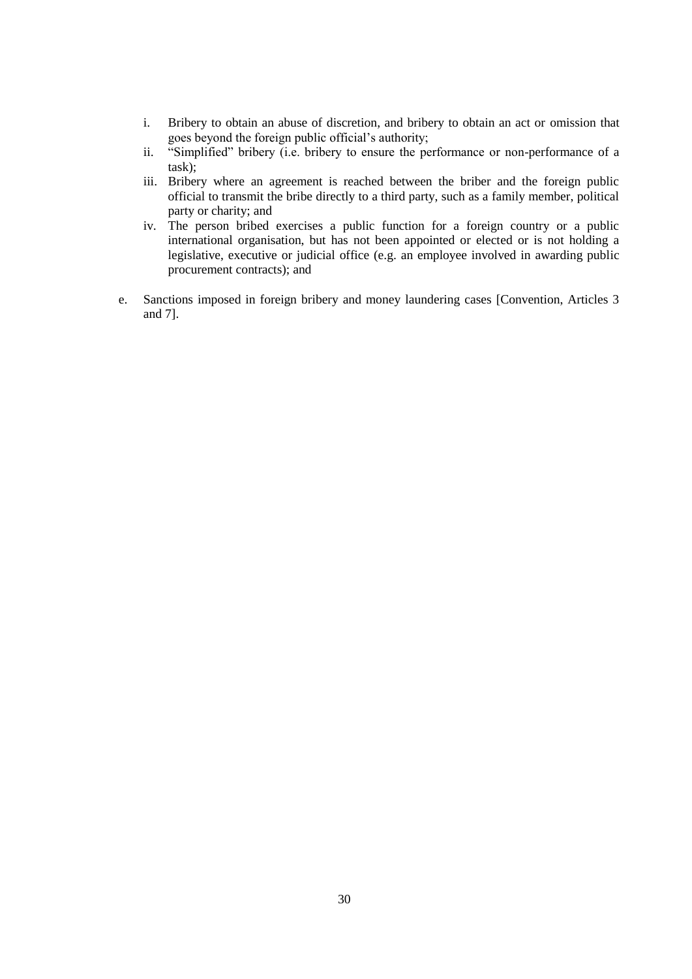- i. Bribery to obtain an abuse of discretion, and bribery to obtain an act or omission that goes beyond the foreign public official's authority;
- ii. "Simplified" bribery (i.e. bribery to ensure the performance or non-performance of a task);
- iii. Bribery where an agreement is reached between the briber and the foreign public official to transmit the bribe directly to a third party, such as a family member, political party or charity; and
- iv. The person bribed exercises a public function for a foreign country or a public international organisation, but has not been appointed or elected or is not holding a legislative, executive or judicial office (e.g. an employee involved in awarding public procurement contracts); and
- e. Sanctions imposed in foreign bribery and money laundering cases [Convention, Articles 3 and 7].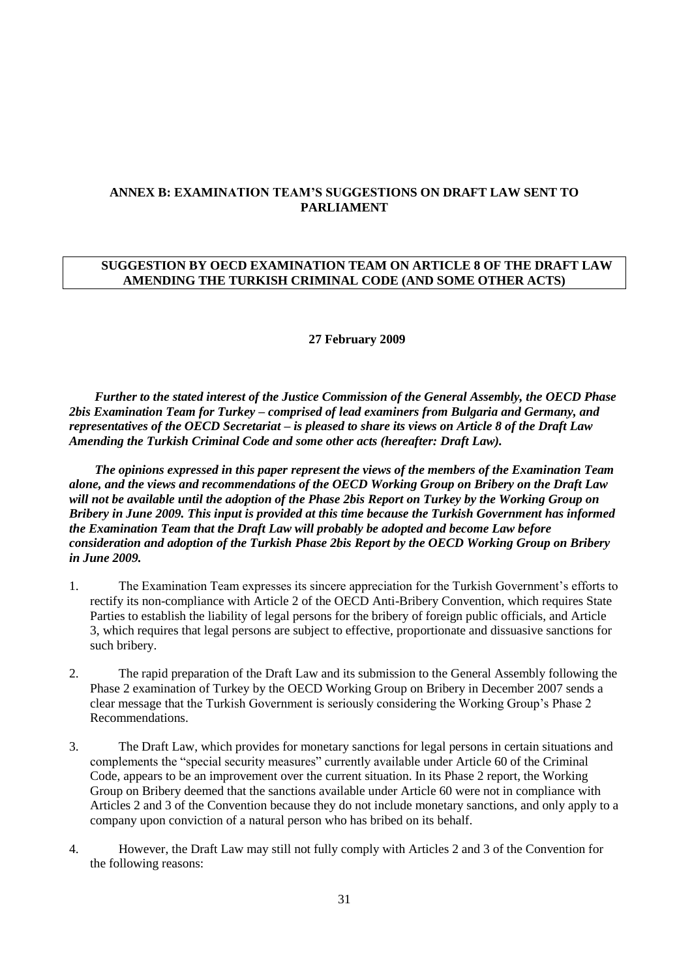## **ANNEX B: EXAMINATION TEAM'S SUGGESTIONS ON DRAFT LAW SENT TO PARLIAMENT**

## **SUGGESTION BY OECD EXAMINATION TEAM ON ARTICLE 8 OF THE DRAFT LAW AMENDING THE TURKISH CRIMINAL CODE (AND SOME OTHER ACTS)**

#### **27 February 2009**

*Further to the stated interest of the Justice Commission of the General Assembly, the OECD Phase 2bis Examination Team for Turkey – comprised of lead examiners from Bulgaria and Germany, and representatives of the OECD Secretariat – is pleased to share its views on Article 8 of the Draft Law Amending the Turkish Criminal Code and some other acts (hereafter: Draft Law).* 

*The opinions expressed in this paper represent the views of the members of the Examination Team alone, and the views and recommendations of the OECD Working Group on Bribery on the Draft Law will not be available until the adoption of the Phase 2bis Report on Turkey by the Working Group on Bribery in June 2009. This input is provided at this time because the Turkish Government has informed the Examination Team that the Draft Law will probably be adopted and become Law before consideration and adoption of the Turkish Phase 2bis Report by the OECD Working Group on Bribery in June 2009.* 

- 1. The Examination Team expresses its sincere appreciation for the Turkish Government's efforts to rectify its non-compliance with Article 2 of the OECD Anti-Bribery Convention, which requires State Parties to establish the liability of legal persons for the bribery of foreign public officials, and Article 3, which requires that legal persons are subject to effective, proportionate and dissuasive sanctions for such bribery.
- 2. The rapid preparation of the Draft Law and its submission to the General Assembly following the Phase 2 examination of Turkey by the OECD Working Group on Bribery in December 2007 sends a clear message that the Turkish Government is seriously considering the Working Group's Phase 2 Recommendations.
- 3. The Draft Law, which provides for monetary sanctions for legal persons in certain situations and complements the "special security measures" currently available under Article 60 of the Criminal Code, appears to be an improvement over the current situation. In its Phase 2 report, the Working Group on Bribery deemed that the sanctions available under Article 60 were not in compliance with Articles 2 and 3 of the Convention because they do not include monetary sanctions, and only apply to a company upon conviction of a natural person who has bribed on its behalf.
- 4. However, the Draft Law may still not fully comply with Articles 2 and 3 of the Convention for the following reasons: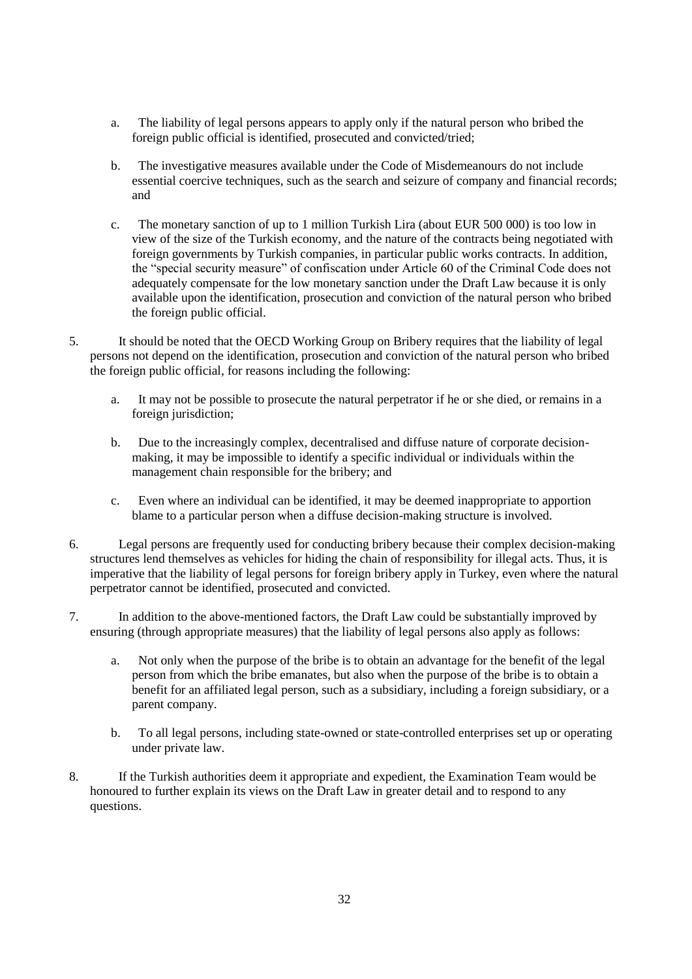- a. The liability of legal persons appears to apply only if the natural person who bribed the foreign public official is identified, prosecuted and convicted/tried;
- b. The investigative measures available under the Code of Misdemeanours do not include essential coercive techniques, such as the search and seizure of company and financial records; and
- c. The monetary sanction of up to 1 million Turkish Lira (about EUR 500 000) is too low in view of the size of the Turkish economy, and the nature of the contracts being negotiated with foreign governments by Turkish companies, in particular public works contracts. In addition, the "special security measure" of confiscation under Article 60 of the Criminal Code does not adequately compensate for the low monetary sanction under the Draft Law because it is only available upon the identification, prosecution and conviction of the natural person who bribed the foreign public official.
- 5. It should be noted that the OECD Working Group on Bribery requires that the liability of legal persons not depend on the identification, prosecution and conviction of the natural person who bribed the foreign public official, for reasons including the following:
	- a. It may not be possible to prosecute the natural perpetrator if he or she died, or remains in a foreign jurisdiction;
	- b. Due to the increasingly complex, decentralised and diffuse nature of corporate decisionmaking, it may be impossible to identify a specific individual or individuals within the management chain responsible for the bribery; and
	- c. Even where an individual can be identified, it may be deemed inappropriate to apportion blame to a particular person when a diffuse decision-making structure is involved.
- 6. Legal persons are frequently used for conducting bribery because their complex decision-making structures lend themselves as vehicles for hiding the chain of responsibility for illegal acts. Thus, it is imperative that the liability of legal persons for foreign bribery apply in Turkey, even where the natural perpetrator cannot be identified, prosecuted and convicted.
- 7. In addition to the above-mentioned factors, the Draft Law could be substantially improved by ensuring (through appropriate measures) that the liability of legal persons also apply as follows:
	- a. Not only when the purpose of the bribe is to obtain an advantage for the benefit of the legal person from which the bribe emanates, but also when the purpose of the bribe is to obtain a benefit for an affiliated legal person, such as a subsidiary, including a foreign subsidiary, or a parent company.
	- b. To all legal persons, including state-owned or state-controlled enterprises set up or operating under private law.
- 8. If the Turkish authorities deem it appropriate and expedient, the Examination Team would be honoured to further explain its views on the Draft Law in greater detail and to respond to any questions.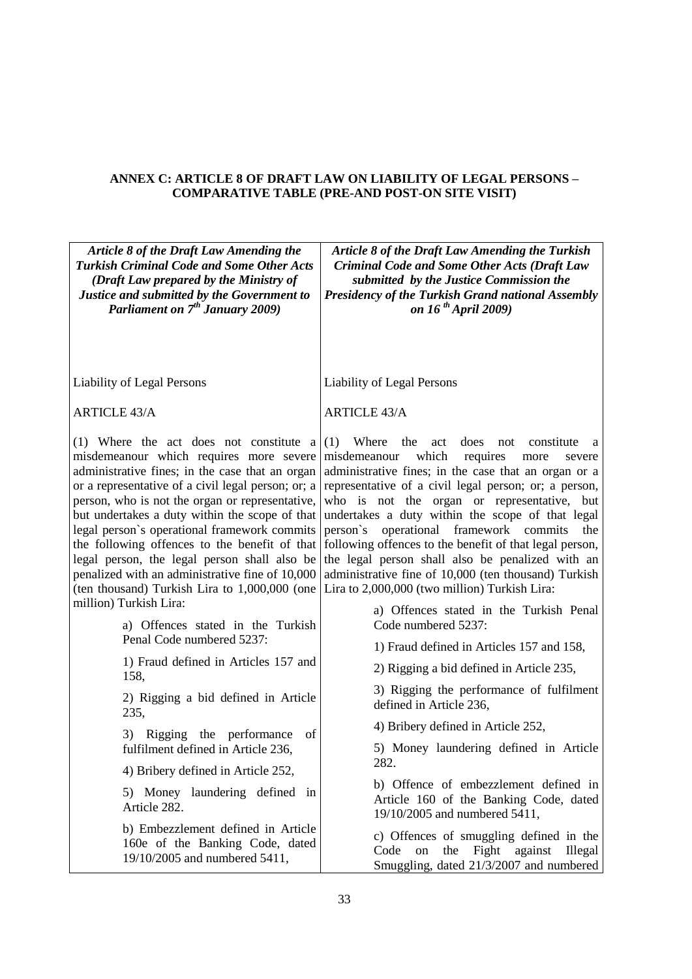## **ANNEX C: ARTICLE 8 OF DRAFT LAW ON LIABILITY OF LEGAL PERSONS – COMPARATIVE TABLE (PRE-AND POST-ON SITE VISIT)**

| Article 8 of the Draft Law Amending the<br><b>Turkish Criminal Code and Some Other Acts</b><br>(Draft Law prepared by the Ministry of<br>Justice and submitted by the Government to<br>Parliament on 7 <sup>th</sup> January 2009)                                                                                                                                                                                                                                                                                                                    | <b>Article 8 of the Draft Law Amending the Turkish</b><br><b>Criminal Code and Some Other Acts (Draft Law</b><br>submitted by the Justice Commission the<br><b>Presidency of the Turkish Grand national Assembly</b><br>on 16 <sup>th</sup> April 2009)                                                                                                                                                                                                                                                                                                                                                         |  |
|-------------------------------------------------------------------------------------------------------------------------------------------------------------------------------------------------------------------------------------------------------------------------------------------------------------------------------------------------------------------------------------------------------------------------------------------------------------------------------------------------------------------------------------------------------|-----------------------------------------------------------------------------------------------------------------------------------------------------------------------------------------------------------------------------------------------------------------------------------------------------------------------------------------------------------------------------------------------------------------------------------------------------------------------------------------------------------------------------------------------------------------------------------------------------------------|--|
| <b>Liability of Legal Persons</b>                                                                                                                                                                                                                                                                                                                                                                                                                                                                                                                     | <b>Liability of Legal Persons</b>                                                                                                                                                                                                                                                                                                                                                                                                                                                                                                                                                                               |  |
| <b>ARTICLE 43/A</b>                                                                                                                                                                                                                                                                                                                                                                                                                                                                                                                                   | <b>ARTICLE 43/A</b>                                                                                                                                                                                                                                                                                                                                                                                                                                                                                                                                                                                             |  |
| (1) Where the act does not constitute a<br>misdemeanour which requires more severe<br>administrative fines; in the case that an organ<br>or a representative of a civil legal person; or; a<br>person, who is not the organ or representative,<br>but undertakes a duty within the scope of that<br>legal person's operational framework commits<br>the following offences to the benefit of that<br>legal person, the legal person shall also be<br>penalized with an administrative fine of 10,000<br>(ten thousand) Turkish Lira to 1,000,000 (one | $(1)$ Where<br>the<br>does<br>constitute<br>act<br>not<br>a<br>misdemeanour<br>which<br>requires<br>more<br>severe<br>administrative fines; in the case that an organ or a<br>representative of a civil legal person; or; a person,<br>who is not the organ or representative, but<br>undertakes a duty within the scope of that legal<br>person's operational framework commits<br>the<br>following offences to the benefit of that legal person,<br>the legal person shall also be penalized with an<br>administrative fine of 10,000 (ten thousand) Turkish<br>Lira to 2,000,000 (two million) Turkish Lira: |  |
| million) Turkish Lira:<br>a) Offences stated in the Turkish<br>Penal Code numbered 5237:                                                                                                                                                                                                                                                                                                                                                                                                                                                              | a) Offences stated in the Turkish Penal<br>Code numbered 5237:                                                                                                                                                                                                                                                                                                                                                                                                                                                                                                                                                  |  |
| 1) Fraud defined in Articles 157 and                                                                                                                                                                                                                                                                                                                                                                                                                                                                                                                  | 1) Fraud defined in Articles 157 and 158,<br>2) Rigging a bid defined in Article 235,                                                                                                                                                                                                                                                                                                                                                                                                                                                                                                                           |  |
| 158,<br>2) Rigging a bid defined in Article<br>235,                                                                                                                                                                                                                                                                                                                                                                                                                                                                                                   | 3) Rigging the performance of fulfilment<br>defined in Article 236,                                                                                                                                                                                                                                                                                                                                                                                                                                                                                                                                             |  |
| Rigging the performance<br>of<br>3)                                                                                                                                                                                                                                                                                                                                                                                                                                                                                                                   | 4) Bribery defined in Article 252,                                                                                                                                                                                                                                                                                                                                                                                                                                                                                                                                                                              |  |
| fulfilment defined in Article 236,<br>4) Bribery defined in Article 252,                                                                                                                                                                                                                                                                                                                                                                                                                                                                              | 5) Money laundering defined in Article<br>282.                                                                                                                                                                                                                                                                                                                                                                                                                                                                                                                                                                  |  |
| 5) Money laundering defined in<br>Article 282.                                                                                                                                                                                                                                                                                                                                                                                                                                                                                                        | b) Offence of embezzlement defined in<br>Article 160 of the Banking Code, dated<br>19/10/2005 and numbered 5411,                                                                                                                                                                                                                                                                                                                                                                                                                                                                                                |  |
| b) Embezzlement defined in Article<br>160e of the Banking Code, dated<br>19/10/2005 and numbered 5411,                                                                                                                                                                                                                                                                                                                                                                                                                                                | c) Offences of smuggling defined in the<br>the Fight against<br>Code<br>on<br>Illegal<br>Smuggling, dated 21/3/2007 and numbered                                                                                                                                                                                                                                                                                                                                                                                                                                                                                |  |